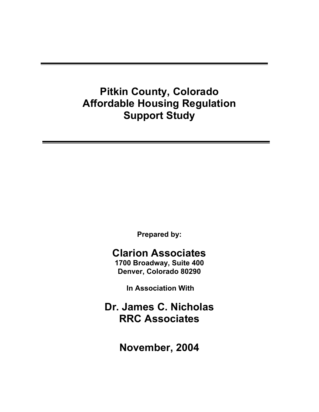# **Pitkin County, Colorado Affordable Housing Regulation Support Study**

**Prepared by:** 

## **Clarion Associates**

**1700 Broadway, Suite 400 Denver, Colorado 80290** 

 **In Association With** 

**Dr. James C. Nicholas RRC Associates**

**November, 2004**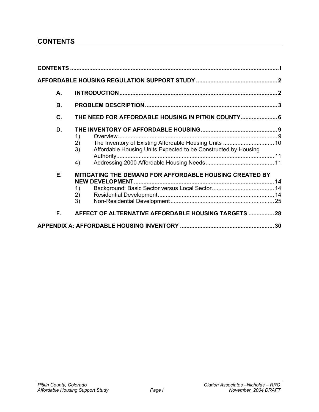### **CONTENTS**

| А. |                                                                                        |  |
|----|----------------------------------------------------------------------------------------|--|
| В. |                                                                                        |  |
| C. | THE NEED FOR AFFORDABLE HOUSING IN PITKIN COUNTY 6                                     |  |
| D. | 1)<br>2)<br>Affordable Housing Units Expected to be Constructed by Housing<br>3)<br>4) |  |
| Е. | <b>MITIGATING THE DEMAND FOR AFFORDABLE HOUSING CREATED BY</b><br>1)<br>2)<br>3)       |  |
| F. | AFFECT OF ALTERNATIVE AFFORDABLE HOUSING TARGETS  28                                   |  |
|    |                                                                                        |  |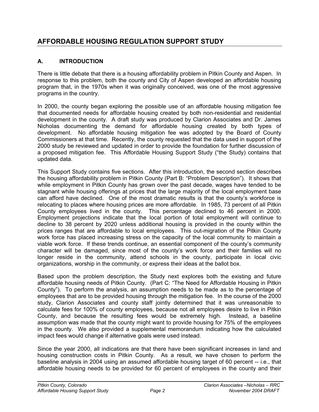## **AFFORDABLE HOUSING REGULATION SUPPORT STUDY**

#### **A. INTRODUCTION**

There is little debate that there is a housing affordability problem in Pitkin County and Aspen. In response to this problem, both the county and City of Aspen developed an affordable housing program that, in the 1970s when it was originally conceived, was one of the most aggressive programs in the country.

In 2000, the county began exploring the possible use of an affordable housing mitigation fee that documented needs for affordable housing created by both non-residential and residential development in the county. A draft study was produced by Clarion Associates and Dr. James Nicholas documenting the demand for affordable housing created by both types of development. No affordable housing mitigation fee was adopted by the Board of County Commissioners at that time. Recently, the county requested that the data used in support of the 2000 study be reviewed and updated in order to provide the foundation for further discussion of a proposed mitigation fee. This Affordable Housing Support Study ("the Study) contains that updated data.

This Support Study contains five sections. After this introduction, the second section describes the housing affordability problem in Pitkin County (Part B: "Problem Description"). It shows that while employment in Pitkin County has grown over the past decade, wages have tended to be stagnant while housing offerings at prices that the large majority of the local employment base can afford have declined. One of the most dramatic results is that the county's workforce is relocating to places where housing prices are more affordable. In 1985, 73 percent of all Pitkin County employees lived in the county. This percentage declined to 46 percent in 2000. Employment projections indicate that the local portion of total employment will continue to decline to 38 percent by 2020 unless additional housing is provided in the county within the prices ranges that are affordable to local employees. This out-migration of the Pitkin County work force has placed increasing stress on the capacity of the local community to maintain a viable work force. If these trends continue, an essential component of the county's community character will be damaged, since most of the county's work force and their families will no longer reside in the community, attend schools in the county, participate in local civic organizations, worship in the community, or express their ideas at the ballot box.

Based upon the problem description, the Study next explores both the existing and future affordable housing needs of Pitkin County. (Part C: "The Need for Affordable Housing in Pitkin County"). To perform the analysis, an assumption needs to be made as to the percentage of employees that are to be provided housing through the mitigation fee. In the course of the 2000 study, Clarion Associates and county staff jointly determined that it was unreasonable to calculate fees for 100% of county employees, because not all employees desire to live in Pitkin County, and because the resulting fees would be extremely high. Instead, a baseline assumption was made that the county might want to provide housing for 75% of the employees in the county. We also provided a supplemental memorandum indicating how the calculated impact fees would change if alternative goals were used instead.

Since the year 2000, all indications are that there have been significant increases in land and housing construction costs in Pitkin County. As a result, we have chosen to perform the baseline analysis in 2004 using an assumed affordable housing target of 60 percent -- i.e., that affordable housing needs to be provided for 60 percent of employees in the county and their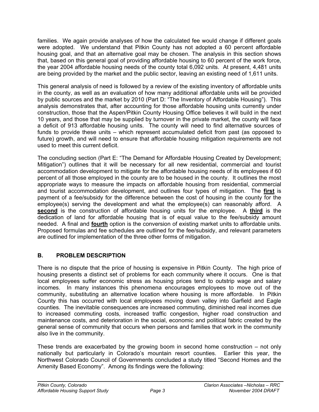families. We again provide analyses of how the calculated fee would change if different goals were adopted. We understand that Pitkin County has not adopted a 60 percent affordable housing goal, and that an alternative goal may be chosen. The analysis in this section shows that, based on this general goal of providing affordable housing to 60 percent of the work force, the year 2004 affordable housing needs of the county total 6,092 units. At present, 4,481 units are being provided by the market and the public sector, leaving an existing need of 1,611 units.

This general analysis of need is followed by a review of the existing inventory of affordable units in the county, as well as an evaluation of how many additional affordable units will be provided by public sources and the market by 2010 (Part D: "The Inventory of Affordable Housing"). This analysis demonstrates that, after accounting for those affordable housing units currently under construction, those that the Aspen/Pitkin County Housing Office believes it will build in the next 10 years, and those that may be supplied by turnover in the private market, the county will face a deficit of 913 affordable housing units. The county will need to find alternative sources of funds to provide these units – which represent accumulated deficit from past (as opposed to future) growth, and will need to ensure that affordable housing mitigation requirements are not used to meet this current deficit.

The concluding section (Part E: "The Demand for Affordable Housing Created by Development; Mitigation") outlines that it will be necessary for all new residential, commercial and tourist accommodation development to mitigate for the affordable housing needs of its employees if 60 percent of all those employed in the county are to be housed in the county. It outlines the most appropriate ways to measure the impacts on affordable housing from residential, commercial and tourist accommodation development, and outlines four types of mitigation. The **first** is payment of a fee/subsidy for the difference between the cost of housing in the county for the employee(s) serving the development and what the employee(s) can reasonably afford. A **second** is the construction of affordable housing units for the employee. A **third** is the dedication of land for affordable housing that is of equal value to the fee/subsidy amount needed. A final and **fourth** option is the conversion of existing market units to affordable units. Proposed formulas and fee schedules are outlined for the fee/subsidy, and relevant parameters are outlined for implementation of the three other forms of mitigation.

#### **B. PROBLEM DESCRIPTION**

There is no dispute that the price of housing is expensive in Pitkin County. The high price of housing presents a distinct set of problems for each community where it occurs. One is that local employees suffer economic stress as housing prices tend to outstrip wage and salary incomes. In many instances this phenomena encourages employees to move out of the community, substituting an alternative location where housing is more affordable. In Pitkin County this has occurred with local employees moving down valley into Garfield and Eagle counties. The inevitable consequences are increased commuting, diminished real incomes due to increased commuting costs, increased traffic congestion, higher road construction and maintenance costs, and deterioration in the social, economic and political fabric created by the general sense of community that occurs when persons and families that work in the community also live in the community.

These trends are exacerbated by the growing boom in second home construction – not only nationally but particularly in Colorado's mountain resort counties. Earlier this year, the Northwest Colorado Council of Governments concluded a study titled "Second Homes and the Amenity Based Economy". Among its findings were the following: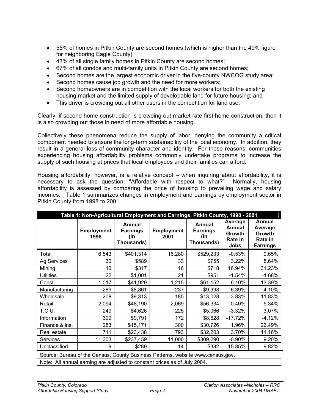- 55% of homes in Pitkin County are second homes (which is higher than the 49% figure for neighboring Eagle County);
- 43% of all single family homes in Pitkin County are second homes;
- 67% of all condos and multi-family units in Pitkin County are second homes;
- Second homes are the largest economic driver in the five-county NWCOG study area;
- Second homes cause job growth and the need for more workers;
- Second homeowners are in competition with the local workers for both the existing housing market and the limited supply of developable land for future housing; and
- This driver is crowding out all other users in the competition for land use.

Clearly, if second home construction is crowding out market rate first home construction, then it is also crowding out those in need of more affordable housing.

Collectively these phenomena reduce the supply of labor, denying the community a critical component needed to ensure the long-term sustainability of the local economy. In addition, they result in a general loss of community character and identity. For these reasons, communities experiencing housing affordability problems commonly undertake programs to increase the supply of such housing at prices that local employees and their families can afford.

Housing affordability, however, is a relative concept – when inquiring about affordability, it is necessary to ask the question: "Affordable with respect to what?" Normally, housing affordability is assessed by comparing the price of housing to prevailing wage and salary incomes. Table 1 summarizes changes in employment and earnings by employment sector in Pitkin County from 1998 to 2001.

| Table 1: Non-Agricultural Employment and Earnings, Pitkin County, 1998 - 2001                                                                                |                           |                                                       |                           |                                                       |                                                |                                                           |  |
|--------------------------------------------------------------------------------------------------------------------------------------------------------------|---------------------------|-------------------------------------------------------|---------------------------|-------------------------------------------------------|------------------------------------------------|-----------------------------------------------------------|--|
|                                                                                                                                                              | <b>Employment</b><br>1998 | <b>Annual</b><br><b>Earnings</b><br>(in<br>Thousands) | <b>Employment</b><br>2001 | <b>Annual</b><br><b>Earnings</b><br>(in<br>Thousands) | Average<br>Annual<br>Growth<br>Rate in<br>Jobs | Annual<br>Average<br>Growth<br>Rate in<br><b>Earnings</b> |  |
| Total                                                                                                                                                        | 16,543                    | \$401,314                                             | 16,280                    | \$529,233                                             | $-0.53%$                                       | 9.65%                                                     |  |
| Ag Services                                                                                                                                                  | 30                        | \$589                                                 | 33                        | \$755                                                 | 3.22%                                          | 8.64%                                                     |  |
| Mining                                                                                                                                                       | 10                        | \$317                                                 | 16                        | \$718                                                 | 16.94%                                         | 31.23%                                                    |  |
| <b>Utilities</b>                                                                                                                                             | 22                        | \$1,001                                               | 21                        | \$951                                                 | $-1.54%$                                       | $-1.68%$                                                  |  |
| Const.                                                                                                                                                       | 1,017                     | \$41,929                                              | 1,215                     | \$61,152                                              | 6.10%                                          | 13.39%                                                    |  |
| Manufacturing                                                                                                                                                | 289                       | \$8,861                                               | 237                       | \$9,998                                               | $-6.39%$                                       | 4.10%                                                     |  |
| Wholesale                                                                                                                                                    | 208                       | \$9,313                                               | 185                       | \$13,028                                              | $-3.83%$                                       | 11.83%                                                    |  |
| Retail                                                                                                                                                       | 2,094                     | \$48,190                                              | 2,069                     | \$56,334                                              | $-0.40%$                                       | 5.34%                                                     |  |
| T.C.U.                                                                                                                                                       | 249                       | \$4,626                                               | 225                       | \$5,066                                               | $-3.32%$                                       | 3.07%                                                     |  |
| Information                                                                                                                                                  | 309                       | \$9,791                                               | 172                       | \$8,628                                               | $-17.72%$                                      | $-4.12%$                                                  |  |
| Finance & ins.                                                                                                                                               | 283                       | \$15,171                                              | 300                       | \$30,726                                              | 1.96%                                          | 26.49%                                                    |  |
| Real estate                                                                                                                                                  | 711                       | \$23,438                                              | 793                       | \$32,203                                              | 3.70%                                          | 11.16%                                                    |  |
| <b>Services</b>                                                                                                                                              | 11,303                    | \$237,459                                             | 11,000                    | \$309,290                                             | $-0.90%$                                       | 9.20%                                                     |  |
| Unclassified                                                                                                                                                 | 9                         | \$289                                                 | 14                        | \$382                                                 | 15.85%                                         | 9.82%                                                     |  |
| Source: Bureau of the Census, County Business Patterns, website www.census.gov.<br>Note: All annual earning are adjusted to constant prices as of July 2004. |                           |                                                       |                           |                                                       |                                                |                                                           |  |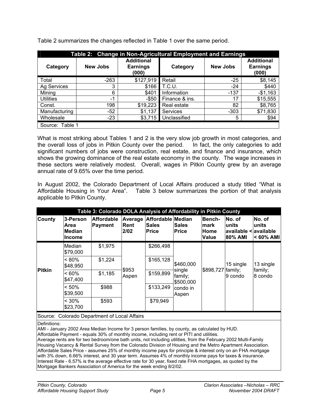| Table 2: Change in Non-Agricultural Employment and Earnings |                 |                                               |                |                 |                                               |  |  |  |
|-------------------------------------------------------------|-----------------|-----------------------------------------------|----------------|-----------------|-----------------------------------------------|--|--|--|
| Category                                                    | <b>New Jobs</b> | <b>Additional</b><br><b>Earnings</b><br>(000) | Category       | <b>New Jobs</b> | <b>Additional</b><br><b>Earnings</b><br>(000) |  |  |  |
| Total                                                       | $-263$          | \$127,919                                     | Retail         | $-25$           | \$8,145                                       |  |  |  |
| Ag Services                                                 | 3               | \$166                                         | <b>T.C.U.</b>  | $-24$           | \$440                                         |  |  |  |
| Mining                                                      | 6               | \$401                                         | Information    | $-137$          | $-$1,163$                                     |  |  |  |
| <b>Utilities</b>                                            | $-1$            | $-$ \$50                                      | Finance & ins. | 17              | \$15,555                                      |  |  |  |
| Const.                                                      | 198             | \$19,223                                      | Real estate    | 82              | \$8,765                                       |  |  |  |
| Manufacturing                                               | $-52$           | \$1,137                                       | Services       | $-303$          | \$71,830                                      |  |  |  |
| Wholesale                                                   | $-23$           | \$3,715                                       | Unclassified   | 5               | \$94                                          |  |  |  |
| Source: Table 1                                             |                 |                                               |                |                 |                                               |  |  |  |

Table 2 summarizes the changes reflected in Table 1 over the same period.

What is most striking about Tables 1 and 2 is the very slow job growth in most categories, and the overall loss of jobs in Pitkin County over the period. In fact, the only categories to add significant numbers of jobs were construction, real estate, and finance and insurance, which shows the growing dominance of the real estate economy in the county. The wage increases in these sectors were relatively modest. Overall, wages in Pitkin County grew by an average annual rate of 9.65% over the time period.

In August 2002, the Colorado Department of Local Affairs produced a study titled "What is Affordable Housing in Your Area". Table 3 below summarizes the portion of that analysis applicable to Pitkin County.

| Table 3: Colorado DOLA Analysis of Affordability in Pitkin County |                                                    |                                              |                                |                                                   |                                                                  |                                        |                                                              |                                 |
|-------------------------------------------------------------------|----------------------------------------------------|----------------------------------------------|--------------------------------|---------------------------------------------------|------------------------------------------------------------------|----------------------------------------|--------------------------------------------------------------|---------------------------------|
| <b>County</b>                                                     | 3-Person<br>Area<br><b>Median</b><br><b>Income</b> | <b>Affordable</b><br>Payment                 | Average<br><b>Rent</b><br>2/02 | Affordable Median<br><b>Sales</b><br><b>Price</b> | <b>Sales</b><br><b>Price</b>                                     | Bench-<br>mark<br>Home<br><b>Value</b> | lNo. of<br>lunits<br>available < available<br><b>80% AMI</b> | No. of<br>units<br>$< 60\%$ AMI |
| <b>Pitkin</b>                                                     | Median<br>\$79,000                                 | \$1,975                                      |                                | \$266,498                                         |                                                                  | \$898,727 family;                      | 15 single<br>9 condo                                         | 13 single<br>family;<br>8 condo |
|                                                                   | $< 80\%$<br>\$48,950                               | \$1,224                                      | \$953<br>Aspen                 | \$165,128                                         | \$460,000<br>single<br>family;<br>\$500,000<br>condo in<br>Aspen |                                        |                                                              |                                 |
|                                                                   | $<60\%$<br>\$47,400                                | \$1,185                                      |                                | \$159,899                                         |                                                                  |                                        |                                                              |                                 |
|                                                                   | $< 50\%$<br>\$39,500                               | \$988                                        |                                | \$133,249                                         |                                                                  |                                        |                                                              |                                 |
|                                                                   | $< 30\%$<br>\$23,700                               | \$593                                        |                                | \$79,949                                          |                                                                  |                                        |                                                              |                                 |
|                                                                   |                                                    | Source: Colorado Department of Local Affairs |                                |                                                   |                                                                  |                                        |                                                              |                                 |

Definitions:

AMI - January 2002 Area Median Income for 3 person families, by county, as calculated by HUD.

Affordable Payment - equals 30% of monthly income, including rent or PITI and utilities.

Average rents are for two bedroom/one bath units, not including utilities, from the February 2002 Multi-Family Housing Vacancy & Rental Survey from the Colorado Division of Housing and the Metro Apartment Association. Affordable Sales Price - assumes 25% of monthly income pays for principle & interest only on an FHA mortgage with 3% down, 6.66% interest, and 30 year term. Assumes 4% of monthly income pays for taxes & insurance. Interest Rate - 6.57% is the average effective rate for 30 year, fixed rate FHA mortgages, as quoted by the Mortgage Bankers Association of America for the week ending 8/2/02.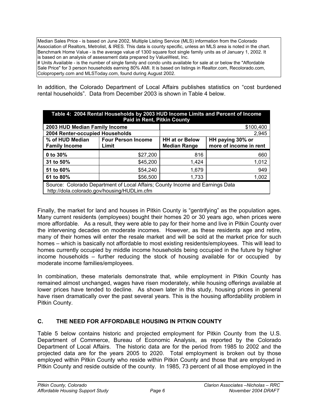Median Sales Price - is based on June 2002, Multiple Listing Service (MLS) information from the Colorado Association of Realtors, Metrolist, & IRES. This data is county specific, unless an MLS area is noted in the chart. Benchmark Home Value - is the average value of 1300 square foot single family units as of January 1, 2002. It is based on an analysis of assessment data prepared by ValueWest, Inc.

# Units Available - is the number of single family and condo units available for sale at or below the "Affordable Sale Price" for 3 person households earning 80% AMI. It is based on listings in Realtor.com, Recolorado.com, Coloproperty.com and MLSToday.com, found during August 2002.

In addition, the Colorado Department of Local Affairs publishes statistics on "cost burdened rental households". Data from December 2003 is shown in Table 4 below.

| Table 4: 2004 Rental Households by 2003 HUD Income Limits and Percent of Income<br><b>Paid in Rent, Pitkin County</b>        |                                    |                                                                                            |           |  |  |  |  |
|------------------------------------------------------------------------------------------------------------------------------|------------------------------------|--------------------------------------------------------------------------------------------|-----------|--|--|--|--|
| 2003 HUD Median Family Income                                                                                                |                                    |                                                                                            | \$100,400 |  |  |  |  |
| 2004 Renter-occupied Households                                                                                              |                                    |                                                                                            | 2,945     |  |  |  |  |
| % of HUD Median<br><b>Family Income</b>                                                                                      | <b>Four Person Income</b><br>Limit | <b>HH at or Below</b><br>HH paying 30% or<br>more of income in rent<br><b>Median Range</b> |           |  |  |  |  |
| 0 to 30%                                                                                                                     | \$27,200                           | 816                                                                                        | 660       |  |  |  |  |
| 31 to 50%                                                                                                                    | \$45,200                           | 1.424                                                                                      | 1,012     |  |  |  |  |
| 51 to 60%                                                                                                                    | \$54,240                           | 1.679                                                                                      | 949       |  |  |  |  |
| 61 to 80%                                                                                                                    | \$56,500                           | 1,733                                                                                      | 1,002     |  |  |  |  |
| Source: Colorado Department of Local Affairs; County Income and Earnings Data<br>http://dola.colorado.gov/housing/HUDLim.cfm |                                    |                                                                                            |           |  |  |  |  |

Finally, the market for land and houses in Pitkin County is "gentrifying" as the population ages. Many current residents (employees) bought their homes 20 or 30 years ago, when prices were more affordable. As a result, they were able to pay for their home and live in Pitkin County over the intervening decades on moderate incomes. However, as these residents age and retire, many of their homes will enter the resale market and will be sold at the market price for such homes – which is basically not affordable to most existing residents/employees. This will lead to homes currently occupied by middle income households being occupied in the future by higher income households – further reducing the stock of housing available for or occupied by moderate income families/employees.

In combination, these materials demonstrate that, while employment in Pitkin County has remained almost unchanged, wages have risen moderately, while housing offerings available at lower prices have tended to decline. As shown later in this study, housing prices in general have risen dramatically over the past several years. This is the housing affordability problem in Pitkin County.

#### **C. THE NEED FOR AFFORDABLE HOUSING IN PITKIN COUNTY**

Table 5 below contains historic and projected employment for Pitkin County from the U.S. Department of Commerce, Bureau of Economic Analysis, as reported by the Colorado Department of Local Affairs. The historic data are for the period from 1985 to 2002 and the projected data are for the years 2005 to 2020. Total employment is broken out by those employed within Pitkin County who reside within Pitkin County and those that are employed in Pitkin County and reside outside of the county. In 1985, 73 percent of all those employed in the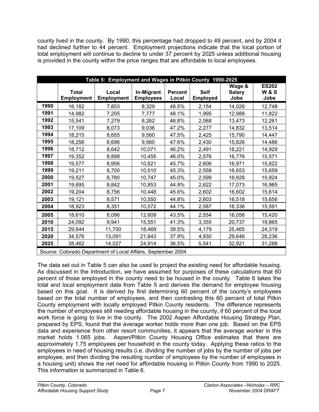county lived in the county. By 1990, this percentage had dropped to 49 percent, and by 2004 it had declined further to 44 percent. Employment projections indicate that the local portion of total employment will continue to decline to under 37 percent by 2025 unless additional housing is provided in the county within the price ranges that are affordable to local employees.

|      | Table 5: Employment and Wages in Pitkin County 1990-2025 |                            |                                                                       |                         |                         |                                        |                                        |  |  |
|------|----------------------------------------------------------|----------------------------|-----------------------------------------------------------------------|-------------------------|-------------------------|----------------------------------------|----------------------------------------|--|--|
|      | <b>Total</b><br><b>Employment</b>                        | Local<br><b>Employment</b> | In-Migrant<br><b>Employees</b>                                        | <b>Percent</b><br>Local | <b>Self</b><br>Employed | Wage &<br><b>Salary</b><br><b>Jobs</b> | <b>ES202</b><br><b>W&amp;S</b><br>Jobs |  |  |
| 1990 | 16,182                                                   | 7,853                      | 8,329                                                                 | 48.5%                   | 2,154                   | 14,028                                 | 12,748                                 |  |  |
| 1991 | 14,982                                                   | 7,205                      | 7,777                                                                 | 48.1%                   | 1,995                   | 12,988                                 | 11,822                                 |  |  |
| 1992 | 15,541                                                   | 7,279                      | 8,262                                                                 | 46.8%                   | 2,068                   | 13,473                                 | 12,261                                 |  |  |
| 1993 | 17,109                                                   | 8,073                      | 9,036                                                                 | 47.2%                   | 2,277                   | 14,832                                 | 13,514                                 |  |  |
| 1994 | 18,215                                                   | 8,655                      | 9,560                                                                 | 47.5%                   | 2,425                   | 15,790                                 | 14,447                                 |  |  |
| 1995 | 18,256                                                   | 8,696                      | 9,560                                                                 | 47.6%                   | 2,430                   | 15,826                                 | 14,486                                 |  |  |
| 1996 | 18,712                                                   | 8,642                      | 10,071                                                                | 46.2%                   | 2,491                   | 16,221                                 | 14,929                                 |  |  |
| 1997 | 19,352                                                   | 8,898                      | 10,455                                                                | 46.0%                   | 2,576                   | 16,776                                 | 15,571                                 |  |  |
| 1998 | 19,577                                                   | 8,956                      | 10,621                                                                | 45.7%                   | 2,606                   | 16,971                                 | 15,822                                 |  |  |
| 1999 | 19,211                                                   | 8,700                      | 10,510                                                                | 45.3%                   | 2,558                   | 16,653                                 | 15,659                                 |  |  |
| 2000 | 19,527                                                   | 8,780                      | 10,747                                                                | 45.0%                   | 2,599                   | 16,928                                 | 15,924                                 |  |  |
| 2001 | 19,695                                                   | 8,842                      | 10,853                                                                | 44.9%                   | 2,622                   | 17,073                                 | 16,985                                 |  |  |
| 2002 | 19,204                                                   | 8,756                      | 10,448                                                                | 45.6%                   | 2,602                   | 16,602                                 | 15,614                                 |  |  |
| 2003 | 19,121                                                   | 8,571                      | 10,550                                                                | 44.8%                   | 2,603                   | 16,518                                 | 15,656                                 |  |  |
| 2004 | 18,923                                                   | 8,351                      | 10,572                                                                | 44.1%                   | 2,587                   | 16,336                                 | 15,591                                 |  |  |
| 2005 | 18,610                                                   | 8,096                      | 12,609                                                                | 43.5%                   | 2,554                   | 16,056                                 | 15,420                                 |  |  |
| 2010 | 24,092                                                   | 9,941                      | 15,551                                                                | 41.3%                   | 3,355                   | 20,737                                 | 19,865                                 |  |  |
| 2015 | 29,644                                                   | 11,700                     | 18,469                                                                | 39.5%                   | 4,179                   | 25,465                                 | 24,319                                 |  |  |
| 2020 | 34,576                                                   | 13,091                     | 21,643                                                                | 37.9%                   | 4,930                   | 29,646                                 | 28,236                                 |  |  |
| 2025 | 38,462                                                   | 14,027                     | 24,914                                                                | 36.5%                   | 5,541                   | 32,921                                 | 31,288                                 |  |  |
|      |                                                          |                            | $\mathbf{r}$ . $\mathbf{r}$ is a set Affective $\mathbf{r}$ such such |                         |                         |                                        |                                        |  |  |

Source: Colorado Department of Local Affairs, September 2004

The data set out in Table 5 can also be used to project the existing need for affordable housing. As discussed in the Introduction, we have assumed for purposes of these calculations that 60 percent of those employed in the county need to be housed in the county. Table 6 takes the total and local employment data from Table 5 and derives the demand for employee housing based on this goal. It is derived by first determining 60 percent of the county's employees based on the total number of employees, and then contrasting this 60 percent of total Pitkin County employment with locally employed Pitkin County residents. The difference represents the number of employees still needing affordable housing in the county, if 60 percent of the local work force is going to live in the county. The 2002 Aspen Affordable Housing Strategy Plan, prepared by EPS, found that the average worker holds more than one job. Based on the EPS data and experience from other resort communities, it appears that the average worker in this market holds 1.065 jobs. Aspen/Pitkin County Housing Office estimates that there are approximately 1.75 employees per household in the county today. Applying these ratios to the employees in need of housing results (i.e. dividing the number of jobs by the number of jobs per employee, and then dividing the resulting number of employees by the number of employees in a housing unit) shows the net need for affordable housing in Pitkin County from 1990 to 2025. This information is summarized in Table 6.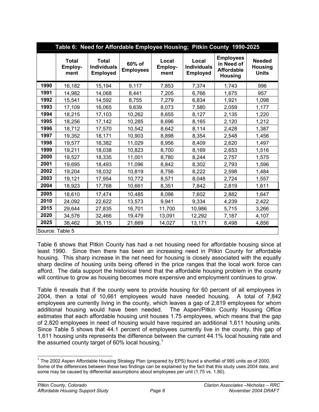|                 | Table 6: Need for Affordable Employee Housing; Pitkin County 1990-2025 |                                                       |                            |                          |                                                |                                                                       |                                                 |  |
|-----------------|------------------------------------------------------------------------|-------------------------------------------------------|----------------------------|--------------------------|------------------------------------------------|-----------------------------------------------------------------------|-------------------------------------------------|--|
|                 | <b>Total</b><br>Employ-<br>ment                                        | <b>Total</b><br><b>Individuals</b><br><b>Employed</b> | 60% of<br><b>Employees</b> | Local<br>Employ-<br>ment | Local<br><b>Individuals</b><br><b>Employed</b> | <b>Employees</b><br>in Need of<br><b>Affordable</b><br><b>Housing</b> | <b>Needed</b><br><b>Housing</b><br><b>Units</b> |  |
| 1990            | 16,182                                                                 | 15,194                                                | 9,117                      | 7,853                    | 7,374                                          | 1,743                                                                 | 996                                             |  |
| 1991            | 14,982                                                                 | 14,068                                                | 8,441                      | 7,205                    | 6,766                                          | 1,675                                                                 | 957                                             |  |
| 1992            | 15,541                                                                 | 14,592                                                | 8,755                      | 7,279                    | 6,834                                          | 1,921                                                                 | 1,098                                           |  |
| 1993            | 17,109                                                                 | 16,065                                                | 9,639                      | 8,073                    | 7,580                                          | 2,059                                                                 | 1,177                                           |  |
| 1994            | 18,215                                                                 | 17,103                                                | 10,262                     | 8,655                    | 8,127                                          | 2,135                                                                 | 1,220                                           |  |
| 1995            | 18,256                                                                 | 17,142                                                | 10,285                     | 8,696                    | 8,165                                          | 2,120                                                                 | 1,212                                           |  |
| 1996            | 18,712                                                                 | 17,570                                                | 10,542                     | 8,642                    | 8,114                                          | 2,428                                                                 | 1,387                                           |  |
| 1997            | 19,352                                                                 | 18,171                                                | 10,903                     | 8,898                    | 8,354                                          | 2,548                                                                 | 1,456                                           |  |
| 1998            | 19,577                                                                 | 18,382                                                | 11,029                     | 8,956                    | 8,409                                          | 2,620                                                                 | 1,497                                           |  |
| 1999            | 19,211                                                                 | 18,038                                                | 10,823                     | 8,700                    | 8,169                                          | 2,653                                                                 | 1,516                                           |  |
| 2000            | 19,527                                                                 | 18,335                                                | 11,001                     | 8,780                    | 8,244                                          | 2,757                                                                 | 1,575                                           |  |
| 2001            | 19,695                                                                 | 18,493                                                | 11,096                     | 8,842                    | 8,302                                          | 2,793                                                                 | 1,596                                           |  |
| 2002            | 19,204                                                                 | 18,032                                                | 10,819                     | 8,756                    | 8,222                                          | 2,598                                                                 | 1,484                                           |  |
| 2003            | 19,121                                                                 | 17,954                                                | 10,772                     | 8,571                    | 8,048                                          | 2,724                                                                 | 1,557                                           |  |
| 2004            | 18,923                                                                 | 17,768                                                | 10,661                     | 8,351                    | 7,842                                          | 2,819                                                                 | 1,611                                           |  |
| 2005            | 18,610                                                                 | 17,474                                                | 10,485                     | 8,096                    | 7,602                                          | 2,882                                                                 | 1,647                                           |  |
| 2010            | 24,092                                                                 | 22,622                                                | 13,573                     | 9,941                    | 9,334                                          | 4,239                                                                 | 2,422                                           |  |
| 2015            | 29,644                                                                 | 27,835                                                | 16,701                     | 11,700                   | 10,986                                         | 5,715                                                                 | 3,266                                           |  |
| 2020            | 34,576                                                                 | 32,466                                                | 19,479                     | 13,091                   | 12,292                                         | 7,187                                                                 | 4,107                                           |  |
| 2025            | 38,462                                                                 | 36,115                                                | 21,669                     | 14,027                   | 13,171                                         | 8,498                                                                 | 4,856                                           |  |
| Source: Table 5 |                                                                        |                                                       |                            |                          |                                                |                                                                       |                                                 |  |

Table 6 shows that Pitkin County has had a net housing need for affordable housing since at least 1990. Since then there has been an increasing need in Pitkin County for affordable housing. This sharp increase in the net need for housing is closely associated with the equally sharp decline of housing units being offered in the price ranges that the local work force can afford. The data support the historical trend that the affordable housing problem in the county will continue to grow as housing becomes more expensive and employment continues to grow.

Table 6 reveals that if the county were to provide housing for 60 percent of all employees in 2004, then a total of 10,661 employees would have needed housing. A total of 7,842 employees are currently living in the county, which leaves a gap of 2,819 employees for whom additional housing would have been needed. The Aspen/Pitkin County Housing Office estimates that each affordable housing unit houses 1.75 employees, which means that the gap of 2,820 employees in need of housing would have required an additional 1,611 housing units. Since Table 5 shows that 44.1 percent of employees currently live in the county, this gap of 1,611 housing units represents the difference between the current 44.1% local housing rate and the assumed county target of 60% local housing.<sup>1</sup>

 $\overline{a}$ 

<sup>&</sup>lt;sup>1</sup> The 2002 Aspen Affordable Housing Strategy Plan (prepared by EPS) found a shortfall of 995 units as of 2000. Some of the differences between these two findings can be explained by the fact that this study uses 2004 data, and some may be caused by differential assumptions about employees per unit (1.75 vs. 1.80).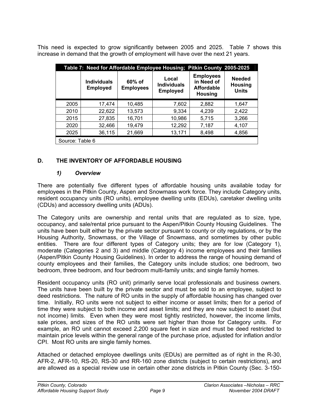This need is expected to grow significantly between 2005 and 2025. Table 7 shows this increase in demand that the growth of employment will have over the next 21 years.

| Table 7: Need for Affordable Employee Housing; Pitkin County 2005-2025 |                                       |                            |                                                |                                                                       |                                                 |  |  |
|------------------------------------------------------------------------|---------------------------------------|----------------------------|------------------------------------------------|-----------------------------------------------------------------------|-------------------------------------------------|--|--|
|                                                                        | <b>Individuals</b><br><b>Employed</b> | 60% of<br><b>Employees</b> | Local<br><b>Individuals</b><br><b>Employed</b> | <b>Employees</b><br>in Need of<br><b>Affordable</b><br><b>Housing</b> | <b>Needed</b><br><b>Housing</b><br><b>Units</b> |  |  |
| 2005                                                                   | 17,474                                | 10,485                     | 7,602                                          | 2,882                                                                 | 1,647                                           |  |  |
| 2010                                                                   | 22,622                                | 13,573                     | 9,334                                          | 4,239                                                                 | 2,422                                           |  |  |
| 2015                                                                   | 27,835                                | 16,701                     | 10,986                                         | 5,715                                                                 | 3,266                                           |  |  |
| 2020                                                                   | 32,466                                | 19,479                     | 12,292                                         | 7,187                                                                 | 4,107                                           |  |  |
| 2025                                                                   | 36,115                                | 21,669                     | 13,171                                         | 8,498                                                                 | 4,856                                           |  |  |
| Source: Table 6                                                        |                                       |                            |                                                |                                                                       |                                                 |  |  |

#### **D. THE INVENTORY OF AFFORDABLE HOUSING**

#### *1) Overview*

There are potentially five different types of affordable housing units available today for employees in the Pitkin County, Aspen and Snowmass work force. They include Category units, resident occupancy units (RO units), employee dwelling units (EDUs), caretaker dwelling units (CDUs) and accessory dwelling units (ADUs).

The Category units are ownership and rental units that are regulated as to size, type, occupancy, and sale/rental price pursuant to the Aspen/Pitkin County Housing Guidelines. The units have been built either by the private sector pursuant to county or city regulations, or by the Housing Authority, Snowmass, or the Village of Snowmass, and sometimes by other public entities. There are four different types of Category units; they are for low (Category 1), moderate (Categories 2 and 3) and middle (Category 4) income employees and their families (Aspen/Pitkin County Housing Guidelines). In order to address the range of housing demand of county employees and their families, the Category units include studios; one bedroom, two bedroom, three bedroom, and four bedroom multi-family units; and single family homes.

Resident occupancy units (RO unit) primarily serve local professionals and business owners. The units have been built by the private sector and must be sold to an employee, subject to deed restrictions. The nature of RO units in the supply of affordable housing has changed over time. Initially, RO units were not subject to either income or asset limits; then for a period of time they were subject to both income and asset limits; and they are now subject to asset (but not income) limits. Even when they were most tightly restricted, however, the income limits, sale prices, and sizes of the RO units were set higher than those for Category units. For example, an RO unit cannot exceed 2,200 square feet in size and must be deed restricted to maintain price levels within the general range of the purchase price, adjusted for inflation and/or CPI. Most RO units are single family homes.

Attached or detached employee dwellings units (EDUs) are permitted as of right in the R-30, AFR-2, AFR-10, RS-20, RS-30 and RR-160 zone districts (subject to certain restrictions), and are allowed as a special review use in certain other zone districts in Pitkin County (Sec. 3-150-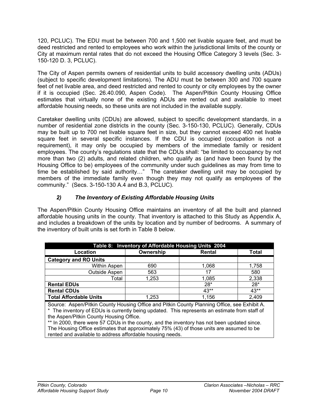120, PCLUC). The EDU must be between 700 and 1,500 net livable square feet, and must be deed restricted and rented to employees who work within the jurisdictional limits of the county or City at maximum rental rates that do not exceed the Housing Office Category 3 levels (Sec. 3- 150-120 D. 3, PCLUC).

The City of Aspen permits owners of residential units to build accessory dwelling units (ADUs) (subject to specific development limitations). The ADU must be between 300 and 700 square feet of net livable area, and deed restricted and rented to county or city employees by the owner if it is occupied (Sec. 26.40.090, Aspen Code). The Aspen/Pitkin County Housing Office estimates that virtually none of the existing ADUs are rented out and available to meet affordable housing needs, so these units are not included in the available supply.

Caretaker dwelling units (CDUs) are allowed, subject to specific development standards, in a number of residential zone districts in the county (Sec. 3-150-130, PCLUC). Generally, CDUs may be built up to 700 net livable square feet in size, but they cannot exceed 400 net livable square feet in several specific instances. If the CDU is occupied (occupation is not a requirement), it may only be occupied by members of the immediate family or resident employees. The county's regulations state that the CDUs shall: "be limited to occupancy by not more than two (2) adults, and related children, who qualify as (and have been found by the Housing Office to be) employees of the community under such guidelines as may from time to time be established by said authority…" The caretaker dwelling unit may be occupied by members of the immediate family even though they may not qualify as employees of the community." (Secs. 3-150-130 A.4 and B.3, PCLUC).

#### *2) The Inventory of Existing Affordable Housing Units*

The Aspen/Pitkin County Housing Office maintains an inventory of all the built and planned affordable housing units in the county. That inventory is attached to this Study as Appendix A, and includes a breakdown of the units by location and by number of bedrooms. A summary of the inventory of built units is set forth in Table 8 below.

| Table 8: Inventory of Affordable Housing Units 2004 |           |        |              |  |  |  |  |
|-----------------------------------------------------|-----------|--------|--------------|--|--|--|--|
| Location                                            | Ownership | Rental | <b>Total</b> |  |  |  |  |
| <b>Category and RO Units</b>                        |           |        |              |  |  |  |  |
| Within Aspen                                        | 690       | 1.068  | 1,758        |  |  |  |  |
| Outside Aspen                                       | 563       | 17     | 580          |  |  |  |  |
| Total                                               | 1,253     | 1,085  | 2,338        |  |  |  |  |
| <b>Rental EDUs</b>                                  |           | $28*$  | $28*$        |  |  |  |  |
| <b>Rental CDUs</b>                                  |           | $43**$ | 43**         |  |  |  |  |
| <b>Total Affordable Units</b>                       | 1.253     | 1,156  | 2,409        |  |  |  |  |

Source: Aspen/Pitkin County Housing Office and Pitkin County Planning Office, see Exhibit A. \* The inventory of EDUs is currently being updated. This represents an estimate from staff of the Aspen/Pitkin County Housing Office.

\*\* In 2000, there were 57 CDUs in the county, and the inventory has not been updated since. The Housing Office estimates that approximately 75% (43) of those units are assumed to be rented and available to address affordable housing needs.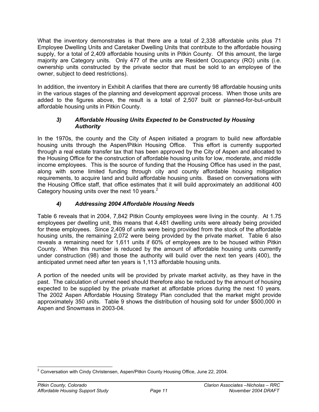What the inventory demonstrates is that there are a total of 2,338 affordable units plus 71 Employee Dwelling Units and Caretaker Dwelling Units that contribute to the affordable housing supply, for a total of 2,409 affordable housing units in Pitkin County. Of this amount, the large majority are Category units. Only 477 of the units are Resident Occupancy (RO) units (i.e. ownership units constructed by the private sector that must be sold to an employee of the owner, subject to deed restrictions).

In addition, the inventory in Exhibit A clarifies that there are currently 98 affordable housing units in the various stages of the planning and development approval process. When those units are added to the figures above, the result is a total of 2,507 built or planned-for-but-unbuilt affordable housing units in Pitkin County.

#### *3) Affordable Housing Units Expected to be Constructed by Housing Authority*

In the 1970s, the county and the City of Aspen initiated a program to build new affordable housing units through the Aspen/Pitkin Housing Office. This effort is currently supported through a real estate transfer tax that has been approved by the City of Aspen and allocated to the Housing Office for the construction of affordable housing units for low, moderate, and middle income employees. This is the source of funding that the Housing Office has used in the past, along with some limited funding through city and county affordable housing mitigation requirements, to acquire land and build affordable housing units. Based on conversations with the Housing Office staff, that office estimates that it will build approximately an additional 400 Category housing units over the next 10 years. $2<sup>2</sup>$ 

#### *4) Addressing 2004 Affordable Housing Needs*

Table 6 reveals that in 2004, 7,842 Pitkin County employees were living in the county. At 1.75 employees per dwelling unit, this means that 4,481 dwelling units were already being provided for these employees. Since 2,409 of units were being provided from the stock of the affordable housing units, the remaining 2,072 were being provided by the private market. Table 6 also reveals a remaining need for 1,611 units if 60% of employees are to be housed within Pitkin County. When this number is reduced by the amount of affordable housing units currently under construction (98) and those the authority will build over the next ten years (400), the anticipated unmet need after ten years is 1,113 affordable housing units.

A portion of the needed units will be provided by private market activity, as they have in the past. The calculation of unmet need should therefore also be reduced by the amount of housing expected to be supplied by the private market at affordable prices during the next 10 years. The 2002 Aspen Affordable Housing Strategy Plan concluded that the market might provide approximately 350 units. Table 9 shows the distribution of housing sold for under \$500,000 in Aspen and Snowmass in 2003-04.

 2 Conversation with Cindy Christensen, Aspen/Pitkin County Housing Office, June 22, 2004.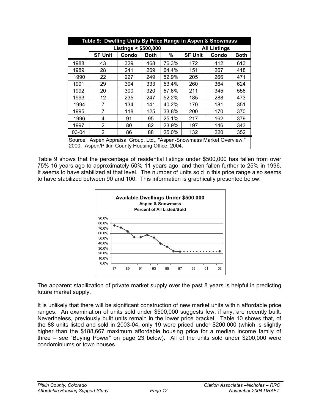| Table 9: Dwelling Units By Price Range in Aspen & Snowmass |                                                                                                                           |                                |             |       |                     |       |             |  |
|------------------------------------------------------------|---------------------------------------------------------------------------------------------------------------------------|--------------------------------|-------------|-------|---------------------|-------|-------------|--|
|                                                            |                                                                                                                           | <b>Listings &lt; \$500,000</b> |             |       | <b>All Listings</b> |       |             |  |
|                                                            | <b>SF Unit</b>                                                                                                            | Condo                          | <b>Both</b> | %     | <b>SF Unit</b>      | Condo | <b>Both</b> |  |
| 1988                                                       | 43                                                                                                                        | 329                            | 468         | 76.3% | 172                 | 412   | 613         |  |
| 1989                                                       | 28                                                                                                                        | 241                            | 269         | 64.4% | 151                 | 267   | 418         |  |
| 1990                                                       | 22                                                                                                                        | 227                            | 249         | 52.9% | 205                 | 266   | 471         |  |
| 1991                                                       | 29                                                                                                                        | 304                            | 333         | 53.4% | 260                 | 364   | 624         |  |
| 1992                                                       | 20                                                                                                                        | 300                            | 320         | 57.6% | 211                 | 345   | 556         |  |
| 1993                                                       | 12                                                                                                                        | 235                            | 247         | 52.2% | 185                 | 288   | 473         |  |
| 1994                                                       | 7                                                                                                                         | 134                            | 141         | 40.2% | 170                 | 181   | 351         |  |
| 1995                                                       | 7                                                                                                                         | 118                            | 125         | 33.8% | 200                 | 170   | 370         |  |
| 1996                                                       | 4                                                                                                                         | 91                             | 95          | 25.1% | 217                 | 162   | 379         |  |
| 1997                                                       | $\overline{2}$                                                                                                            | 80                             | 82          | 23.9% | 197                 | 146   | 343         |  |
| 03-04                                                      | 2                                                                                                                         | 86                             | 88          | 25.0% | 132                 | 220   | 352         |  |
|                                                            | Source: Aspen Appraisal Group, Ltd., "Aspen-Snowmass Market Overview,"<br>2000. Aspen/Pitkin County Housing Office, 2004. |                                |             |       |                     |       |             |  |

Table 9 shows that the percentage of residential listings under \$500,000 has fallen from over 75% 16 years ago to approximately 50% 11 years ago, and then fallen further to 25% in 1996. It seems to have stabilized at that level. The number of units sold in this price range also seems to have stabilized between 90 and 100. This information is graphically presented below.



The apparent stabilization of private market supply over the past 8 years is helpful in predicting future market supply.

It is unlikely that there will be significant construction of new market units within affordable price ranges. An examination of units sold under \$500,000 suggests few, if any, are recently built. Nevertheless, previously built units remain in the lower price bracket. Table 10 shows that, of the 88 units listed and sold in 2003-04, only 19 were priced under \$200,000 (which is slightly higher than the \$188,667 maximum affordable housing price for a median income family of three – see "Buying Power" on page 23 below). All of the units sold under \$200,000 were condominiums or town houses.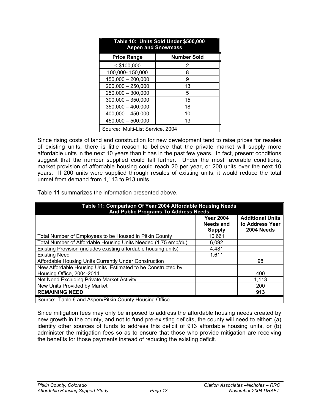| Table 10: Units Sold Under \$500,000<br><b>Aspen and Snowmass</b> |                    |  |  |  |  |  |
|-------------------------------------------------------------------|--------------------|--|--|--|--|--|
| <b>Price Range</b>                                                | <b>Number Sold</b> |  |  |  |  |  |
| $<$ \$100,000                                                     | 2                  |  |  |  |  |  |
| 100,000-150,000                                                   | 8                  |  |  |  |  |  |
| $150,000 - 200,000$                                               | 9                  |  |  |  |  |  |
| $200,000 - 250,000$                                               | 13                 |  |  |  |  |  |
| 250,000 - 300,000                                                 | 5                  |  |  |  |  |  |
| $300.000 - 350,000$                                               | 15                 |  |  |  |  |  |
| $350,000 - 400,000$                                               | 18                 |  |  |  |  |  |
| $400,000 - 450,000$                                               | 10                 |  |  |  |  |  |
| $450,000 - 500,000$<br>13                                         |                    |  |  |  |  |  |
| Source: Multi-List Service, 2004                                  |                    |  |  |  |  |  |

Since rising costs of land and construction for new development tend to raise prices for resales of existing units, there is little reason to believe that the private market will supply more affordable units in the next 10 years than it has in the past few years. In fact, present conditions suggest that the number supplied could fall further. Under the most favorable conditions, market provision of affordable housing could reach 20 per year, or 200 units over the next 10 years. If 200 units were supplied through resales of existing units, it would reduce the total unmet from demand from 1,113 to 913 units

Table 11 summarizes the information presented above.

| Table 11: Comparison Of Year 2004 Affordable Housing Needs<br><b>And Public Programs To Address Needs</b> |                                                |                                                          |  |  |  |  |
|-----------------------------------------------------------------------------------------------------------|------------------------------------------------|----------------------------------------------------------|--|--|--|--|
|                                                                                                           | <b>Year 2004</b><br>Needs and<br><b>Supply</b> | <b>Additional Units</b><br>to Address Year<br>2004 Needs |  |  |  |  |
| Total Number of Employees to be Housed in Pitkin County                                                   | 10,661                                         |                                                          |  |  |  |  |
| Total Number of Affordable Housing Units Needed (1.75 emp/du)                                             | 6,092                                          |                                                          |  |  |  |  |
| Existing Provision (includes existing affordable housing units)                                           | 4,481                                          |                                                          |  |  |  |  |
| <b>Existing Need</b>                                                                                      | 1,611                                          |                                                          |  |  |  |  |
| Affordable Housing Units Currently Under Construction                                                     |                                                | 98                                                       |  |  |  |  |
| New Affordable Housing Units Estimated to be Constructed by                                               |                                                |                                                          |  |  |  |  |
| Housing Office, 2004-2014                                                                                 |                                                | 400                                                      |  |  |  |  |
| Net Need Excluding Private Market Activity                                                                |                                                | 1,113                                                    |  |  |  |  |
| New Units Provided by Market                                                                              |                                                | 200                                                      |  |  |  |  |
| <b>REMAINING NEED</b>                                                                                     |                                                | 913                                                      |  |  |  |  |
| Source: Table 6 and Aspen/Pitkin County Housing Office                                                    |                                                |                                                          |  |  |  |  |

Since mitigation fees may only be imposed to address the affordable housing needs created by new growth in the county, and not to fund pre-existing deficits, the county will need to either: (a) identify other sources of funds to address this deficit of 913 affordable housing units, or (b) administer the mitigation fees so as to ensure that those who provide mitigation are receiving the benefits for those payments instead of reducing the existing deficit.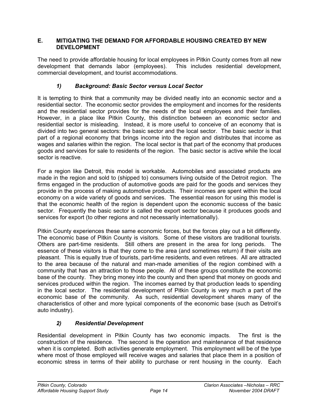#### **E. MITIGATING THE DEMAND FOR AFFORDABLE HOUSING CREATED BY NEW DEVELOPMENT**

The need to provide affordable housing for local employees in Pitkin County comes from all new development that demands labor (employees). This includes residential development, commercial development, and tourist accommodations.

#### *1) Background: Basic Sector versus Local Sector*

It is tempting to think that a community may be divided neatly into an economic sector and a residential sector. The economic sector provides the employment and incomes for the residents and the residential sector provides for the needs of the local employees and their families. However, in a place like Pitkin County, this distinction between an economic sector and residential sector is misleading. Instead, it is more useful to conceive of an economy that is divided into two general sectors: the basic sector and the local sector. The basic sector is that part of a regional economy that brings income into the region and distributes that income as wages and salaries within the region. The local sector is that part of the economy that produces goods and services for sale to residents of the region. The basic sector is active while the local sector is reactive.

For a region like Detroit, this model is workable. Automobiles and associated products are made in the region and sold to (shipped to) consumers living outside of the Detroit region. The firms engaged in the production of automotive goods are paid for the goods and services they provide in the process of making automotive products. Their incomes are spent within the local economy on a wide variety of goods and services. The essential reason for using this model is that the economic health of the region is dependent upon the economic success of the basic sector. Frequently the basic sector is called the export sector because it produces goods and services for export (to other regions and not necessarily internationally).

Pitkin County experiences these same economic forces, but the forces play out a bit differently. The economic base of Pitkin County is visitors. Some of these visitors are traditional tourists. Others are part-time residents. Still others are present in the area for long periods. The essence of these visitors is that they come to the area (and sometimes return) if their visits are pleasant. This is equally true of tourists, part-time residents, and even retirees. All are attracted to the area because of the natural and man-made amenities of the region combined with a community that has an attraction to those people. All of these groups constitute the economic base of the county. They bring money into the county and then spend that money on goods and services produced within the region. The incomes earned by that production leads to spending in the local sector. The residential development of Pitkin County is very much a part of the economic base of the community. As such, residential development shares many of the characteristics of other and more typical components of the economic base (such as Detroit's auto industry).

#### *2) Residential Development*

Residential development in Pitkin County has two economic impacts. The first is the construction of the residence. The second is the operation and maintenance of that residence when it is completed. Both activities generate employment. This employment will be of the type where most of those employed will receive wages and salaries that place them in a position of economic stress in terms of their ability to purchase or rent housing in the county. Each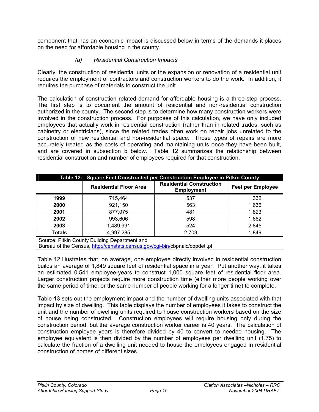component that has an economic impact is discussed below in terms of the demands it places on the need for affordable housing in the county.

#### *(a) Residential Construction Impacts*

Clearly, the construction of residential units or the expansion or renovation of a residential unit requires the employment of contractors and construction workers to do the work. In addition, it requires the purchase of materials to construct the unit.

The calculation of construction related demand for affordable housing is a three-step process. The first step is to document the amount of residential and non-residential construction authorized in the county. The second step is to determine how many construction workers were involved in the construction process. For purposes of this calculation, we have only included employees that actually work in residential construction (rather than in related trades, such as cabinetry or electricians), since the related trades often work on repair jobs unrelated to the construction of new residential and non-residential space. Those types of repairs are more accurately treated as the costs of operating and maintaining units once they have been built, and are covered in subsection b below. Table 12 summarizes the relationship between residential construction and number of employees required for that construction.

|                                               | Table 12: Square Feet Constructed per Construction Employee in Pitkin County |                                                      |                          |  |  |  |  |  |
|-----------------------------------------------|------------------------------------------------------------------------------|------------------------------------------------------|--------------------------|--|--|--|--|--|
|                                               | <b>Residential Floor Area</b>                                                | <b>Residential Construction</b><br><b>Employment</b> | <b>Feet per Employee</b> |  |  |  |  |  |
| 1999                                          | 715,464                                                                      | 537                                                  | 1,332                    |  |  |  |  |  |
| 2000                                          | 921,150                                                                      | 563                                                  | 1,636                    |  |  |  |  |  |
| 2001                                          | 877,075                                                                      | 481                                                  | 1,823                    |  |  |  |  |  |
| 2002                                          | 993,606                                                                      | 598                                                  | 1,662                    |  |  |  |  |  |
| 2003                                          | 1,489,991                                                                    | 524                                                  | 2,845                    |  |  |  |  |  |
| <b>Totals</b>                                 | 4,997,285                                                                    | 2,703                                                | 1,849                    |  |  |  |  |  |
| Source: Pitkin County Building Department and |                                                                              |                                                      |                          |  |  |  |  |  |

Bureau of the Census, http://censtats.census.gov/cgi-bin/cbpnaic/cbpdetl.pl

Table 12 illustrates that, on average, one employee directly involved in residential construction builds an average of 1,849 square feet of residential space in a year. Put another way, it takes an estimated 0.541 employee-years to construct 1,000 square feet of residential floor area. Larger construction projects require more construction time (either more people working over the same period of time, or the same number of people working for a longer time) to complete.

Table 13 sets out the employment impact and the number of dwelling units associated with that impact by size of dwelling. This table displays the number of employees it takes to construct the unit and the number of dwelling units required to house construction workers based on the size of house being constructed. Construction employees will require housing only during the construction period, but the average construction worker career is 40 years. The calculation of construction employee years is therefore divided by 40 to convert to needed housing. The employee equivalent is then divided by the number of employees per dwelling unit (1.75) to calculate the fraction of a dwelling unit needed to house the employees engaged in residential construction of homes of different sizes.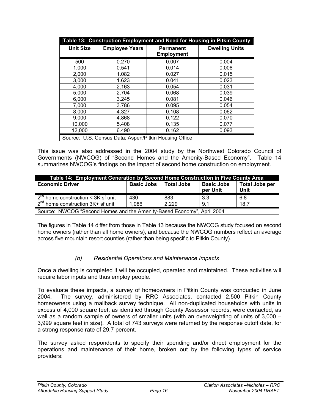| Table 13: Construction Employment and Need for Housing in Pitkin County |                                                       |                                       |                       |  |  |  |
|-------------------------------------------------------------------------|-------------------------------------------------------|---------------------------------------|-----------------------|--|--|--|
| <b>Unit Size</b>                                                        | <b>Employee Years</b>                                 | <b>Permanent</b><br><b>Employment</b> | <b>Dwelling Units</b> |  |  |  |
| 500                                                                     | 0.270                                                 | 0.007                                 | 0.004                 |  |  |  |
| 1,000                                                                   | 0.541                                                 | 0.014                                 | 0.008                 |  |  |  |
| 2,000                                                                   | 1.082                                                 | 0.027                                 | 0.015                 |  |  |  |
| 3,000                                                                   | 1.623                                                 | 0.041                                 | 0.023                 |  |  |  |
| 4,000                                                                   | 2.163                                                 | 0.054                                 | 0.031                 |  |  |  |
| 5,000                                                                   | 2.704                                                 | 0.068                                 | 0.039                 |  |  |  |
| 6,000                                                                   | 3.245                                                 | 0.081                                 | 0.046                 |  |  |  |
| 7,000                                                                   | 3.786                                                 | 0.095                                 | 0.054                 |  |  |  |
| 8,000                                                                   | 4.327                                                 | 0.108                                 | 0.062                 |  |  |  |
| 9,000                                                                   | 4.868                                                 | 0.122                                 | 0.070                 |  |  |  |
| 10,000                                                                  | 5.408                                                 | 0.135                                 | 0.077                 |  |  |  |
| 12,000                                                                  | 6.490                                                 | 0.162                                 | 0.093                 |  |  |  |
|                                                                         | Source: U.S. Census Data; Aspen/Pitkin Housing Office |                                       |                       |  |  |  |

This issue was also addressed in the 2004 study by the Northwest Colorado Council of Governments (NWCOG) of "Second Homes and the Amenity-Based Economy". Table 14 summarizes NWCOG's findings on the impact of second home construction on employment.

| Table 14: Employment Generation by Second Home Construction in Five County Area |                   |            |                               |                               |  |  |  |
|---------------------------------------------------------------------------------|-------------------|------------|-------------------------------|-------------------------------|--|--|--|
| <b>Economic Driver</b>                                                          | <b>Basic Jobs</b> | Total Jobs | <b>Basic Jobs</b><br>per Unit | <b>Total Jobs per</b><br>Unit |  |  |  |
| $2nd$ home construction < 3K sf unit                                            | 430               | 883        | 3.3                           | 6.8                           |  |  |  |
| $2^{nd}$ home construction $3K+$ sf unit<br>1.086<br>2.229<br>18.7<br>9.1       |                   |            |                               |                               |  |  |  |
| Source: NWCOG "Second Homes and the Amenity-Based Economy", April 2004          |                   |            |                               |                               |  |  |  |

The figures in Table 14 differ from those in Table 13 because the NWCOG study focused on second home owners (rather than all home owners), and because the NWCOG numbers reflect an average across five mountain resort counties (rather than being specific to Pitkin County).

#### *(b) Residential Operations and Maintenance Impacts*

Once a dwelling is completed it will be occupied, operated and maintained. These activities will require labor inputs and thus employ people.

To evaluate these impacts, a survey of homeowners in Pitkin County was conducted in June 2004. The survey, administered by RRC Associates, contacted 2,500 Pitkin County homeowners using a mailback survey technique. All non-duplicated households with units in excess of 4,000 square feet, as identified through County Assessor records, were contacted, as well as a random sample of owners of smaller units (with an overweighting of units of 3,000 – 3,999 square feet in size). A total of 743 surveys were returned by the response cutoff date, for a strong response rate of 29.7 percent.

The survey asked respondents to specify their spending and/or direct employment for the operations and maintenance of their home, broken out by the following types of service providers: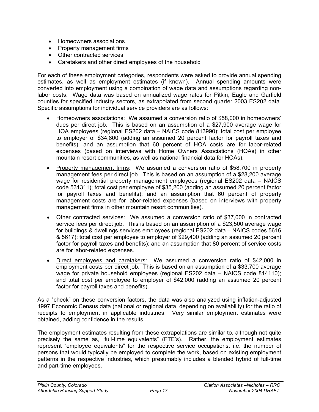- Homeowners associations
- Property management firms
- Other contracted services
- Caretakers and other direct employees of the household

For each of these employment categories, respondents were asked to provide annual spending estimates, as well as employment estimates (if known). Annual spending amounts were converted into employment using a combination of wage data and assumptions regarding nonlabor costs. Wage data was based on annualized wage rates for Pitkin, Eagle and Garfield counties for specified industry sectors, as extrapolated from second quarter 2003 ES202 data. Specific assumptions for individual service providers are as follows:

- Homeowners associations: We assumed a conversion ratio of \$58,000 in homeowners' dues per direct job. This is based on an assumption of a \$27,900 average wage for HOA employees (regional ES202 data – NAICS code 813990); total cost per employee to employer of \$34,800 (adding an assumed 20 percent factor for payroll taxes and benefits); and an assumption that 60 percent of HOA costs are for labor-related expenses (based on interviews with Home Owners Associations (HOAs) in other mountain resort communities, as well as national financial data for HOAs).
- Property management firms: We assumed a conversion ratio of \$58,700 in property management fees per direct job. This is based on an assumption of a \$28,200 average wage for residential property management employees (regional ES202 data – NAICS code 531311); total cost per employee of \$35,200 (adding an assumed 20 percent factor for payroll taxes and benefits); and an assumption that 60 percent of property management costs are for labor-related expenses (based on interviews with property management firms in other mountain resort communities).
- Other contracted services: We assumed a conversion ratio of \$37,000 in contracted service fees per direct job. This is based on an assumption of a \$23,500 average wage for buildings & dwellings services employees (regional ES202 data – NAICS codes 5616 & 5617); total cost per employee to employer of \$29,400 (adding an assumed 20 percent factor for payroll taxes and benefits); and an assumption that 80 percent of service costs are for labor-related expenses.
- Direct employees and caretakers: We assumed a conversion ratio of \$42,000 in employment costs per direct job. This is based on an assumption of a \$33,700 average wage for private household employees (regional ES202 data – NAICS code 814110); and total cost per employee to employer of \$42,000 (adding an assumed 20 percent factor for payroll taxes and benefits).

As a "check" on these conversion factors, the data was also analyzed using inflation-adjusted 1997 Economic Census data (national or regional data, depending on availability) for the ratio of receipts to employment in applicable industries. Very similar employment estimates were obtained, adding confidence in the results.

The employment estimates resulting from these extrapolations are similar to, although not quite precisely the same as, "full-time equivalents" (FTE's). Rather, the employment estimates represent "employee equivalents" for the respective service occupations, i.e. the number of persons that would typically be employed to complete the work, based on existing employment patterns in the respective industries, which presumably includes a blended hybrid of full-time and part-time employees.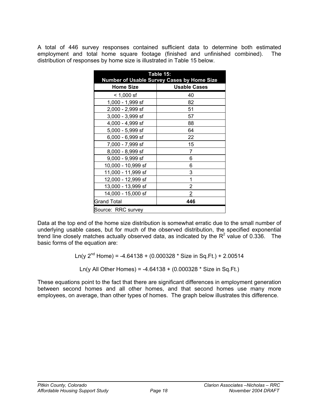A total of 446 survey responses contained sufficient data to determine both estimated employment and total home square footage (finished and unfinished combined). The distribution of responses by home size is illustrated in Table 15 below.

| Table 15:<br><b>Number of Usable Survey Cases by Home Size</b> |                     |  |  |  |  |
|----------------------------------------------------------------|---------------------|--|--|--|--|
| <b>Home Size</b>                                               | <b>Usable Cases</b> |  |  |  |  |
| $< 1,000$ sf                                                   | 40                  |  |  |  |  |
| 1,000 - 1,999 sf                                               | 82                  |  |  |  |  |
| 2,000 - 2,999 sf                                               | 51                  |  |  |  |  |
| 3,000 - 3,999 sf                                               | 57                  |  |  |  |  |
| 4,000 - 4,999 sf                                               | 88                  |  |  |  |  |
| 5,000 - 5,999 sf                                               | 64                  |  |  |  |  |
| 6,000 - 6,999 sf                                               | 22                  |  |  |  |  |
| 7,000 - 7,999 sf                                               | 15                  |  |  |  |  |
| 8,000 - 8,999 sf                                               | 7                   |  |  |  |  |
| 9,000 - 9,999 sf                                               | 6                   |  |  |  |  |
| 10,000 - 10,999 sf                                             | 6                   |  |  |  |  |
| 11,000 - 11,999 sf                                             | 3                   |  |  |  |  |
| 12,000 - 12,999 sf                                             | 1                   |  |  |  |  |
| 13,000 - 13,999 sf                                             | 2                   |  |  |  |  |
| 14,000 - 15,000 sf                                             | $\overline{2}$      |  |  |  |  |
| Grand Total<br>446                                             |                     |  |  |  |  |
| Source: RRC survey                                             |                     |  |  |  |  |

Data at the top end of the home size distribution is somewhat erratic due to the small number of underlying usable cases, but for much of the observed distribution, the specified exponential trend line closely matches actually observed data, as indicated by the  $R^2$  value of 0.336. The basic forms of the equation are:

Ln(y  $2^{nd}$  Home) = -4.64138 + (0.000328  $*$  Size in Sq.Ft.) + 2.00514

Ln(y All Other Homes) =  $-4.64138 + (0.000328 * Size in Sq.Ft.)$ 

These equations point to the fact that there are significant differences in employment generation between second homes and all other homes, and that second homes use many more employees, on average, than other types of homes. The graph below illustrates this difference.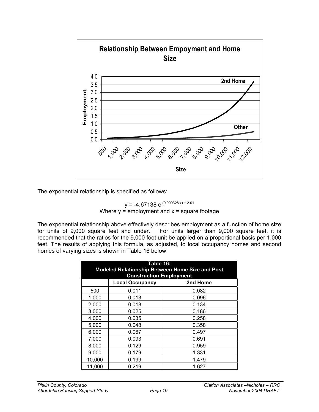

The exponential relationship is specified as follows:

 $y = -4.67138 \text{ e}^{(0.000328 \text{ x}) + 2.01}$ Where  $y =$  employment and  $x =$  square footage

The exponential relationship above effectively describes employment as a function of home size for units of 9,000 square feet and under. For units larger than 9,000 square feet, it is recommended that the ratios for the 9,000 foot unit be applied on a proportional basis per 1,000 feet. The results of applying this formula, as adjusted, to local occupancy homes and second homes of varying sizes is shown in Table 16 below.

| Table 16:<br><b>Modeled Relationship Between Home Size and Post</b><br><b>Construction Employment</b> |       |       |  |  |  |  |  |
|-------------------------------------------------------------------------------------------------------|-------|-------|--|--|--|--|--|
| 2nd Home<br><b>Local Occupancy</b>                                                                    |       |       |  |  |  |  |  |
| 500                                                                                                   | 0.011 | 0.082 |  |  |  |  |  |
| 1,000                                                                                                 | 0.013 | 0.096 |  |  |  |  |  |
| 2,000                                                                                                 | 0.018 | 0.134 |  |  |  |  |  |
| 3,000                                                                                                 | 0.025 | 0.186 |  |  |  |  |  |
| 4,000                                                                                                 | 0.035 | 0.258 |  |  |  |  |  |
| 5,000                                                                                                 | 0.048 | 0.358 |  |  |  |  |  |
| 6,000                                                                                                 | 0.067 | 0.497 |  |  |  |  |  |
| 7,000                                                                                                 | 0.093 | 0.691 |  |  |  |  |  |
| 8,000                                                                                                 | 0.129 | 0.959 |  |  |  |  |  |
| 9,000                                                                                                 | 0.179 | 1.331 |  |  |  |  |  |
| 10,000                                                                                                | 0.199 | 1.479 |  |  |  |  |  |
| 11,000                                                                                                | 0.219 | 1.627 |  |  |  |  |  |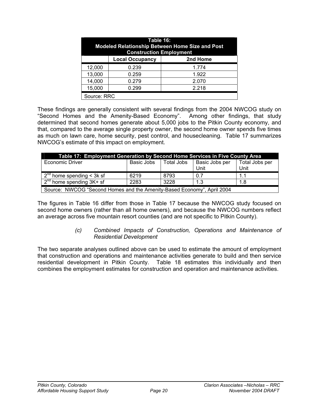| Table 16:<br>Modeled Relationship Between Home Size and Post<br><b>Construction Employment</b> |             |       |  |  |  |  |
|------------------------------------------------------------------------------------------------|-------------|-------|--|--|--|--|
| 2nd Home<br><b>Local Occupancy</b>                                                             |             |       |  |  |  |  |
| 12,000                                                                                         | 0.239       | 1.774 |  |  |  |  |
| 13,000                                                                                         | 1.922       |       |  |  |  |  |
| 14,000<br>0.279<br>2.070                                                                       |             |       |  |  |  |  |
| 15,000<br>0.299<br>2.218                                                                       |             |       |  |  |  |  |
|                                                                                                | Source: RRC |       |  |  |  |  |

These findings are generally consistent with several findings from the 2004 NWCOG study on "Second Homes and the Amenity-Based Economy". Among other findings, that study determined that second homes generate about 5,000 jobs to the Pitkin County economy, and that, compared to the average single property owner, the second home owner spends five times as much on lawn care, home security, pest control, and housecleaning. Table 17 summarizes NWCOG's estimate of this impact on employment.

| Table 17: Employment Generation by Second Home Services in Five County Area |            |            |                |                |  |  |  |  |
|-----------------------------------------------------------------------------|------------|------------|----------------|----------------|--|--|--|--|
| <b>Economic Driver</b>                                                      | Basic Jobs | Total Jobs | Basic Jobs per | Total Jobs per |  |  |  |  |
|                                                                             |            |            | Unit           | Unit           |  |  |  |  |
| $2nd$ home spending < 3k sf                                                 | 6219       | 8793       | 0.7            |                |  |  |  |  |
| $2^{nd}$ home spending $3K+$ sf                                             | 2283       | 3228       | 1.3            | 1.8            |  |  |  |  |
| Course: NINCOC "Cocond Homes and the Amerity Pased Economy" April 2004      |            |            |                |                |  |  |  |  |

Source: NWCOG "Second Homes and the Amenity-Based Economy", April 2004

The figures in Table 16 differ from those in Table 17 because the NWCOG study focused on second home owners (rather than all home owners), and because the NWCOG numbers reflect an average across five mountain resort counties (and are not specific to Pitkin County).

#### *(c) Combined Impacts of Construction, Operations and Maintenance of Residential Development*

The two separate analyses outlined above can be used to estimate the amount of employment that construction and operations and maintenance activities generate to build and then service residential development in Pitkin County. Table 18 estimates this individually and then combines the employment estimates for construction and operation and maintenance activities.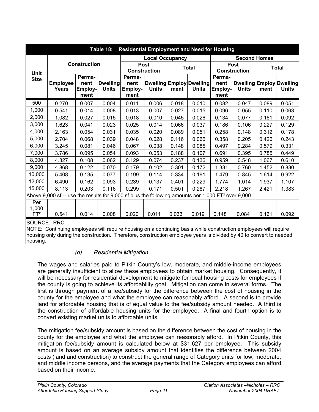| <b>Residential Employment and Need for Housing</b><br>Table 18:                                                    |                                                                                                                 |                                   |                                 |                                   |              |       |                                          |                                    |              |              |                                          |
|--------------------------------------------------------------------------------------------------------------------|-----------------------------------------------------------------------------------------------------------------|-----------------------------------|---------------------------------|-----------------------------------|--------------|-------|------------------------------------------|------------------------------------|--------------|--------------|------------------------------------------|
|                                                                                                                    |                                                                                                                 |                                   |                                 | <b>Local Occupancy</b>            |              |       |                                          | <b>Second Homes</b>                |              |              |                                          |
| Unit                                                                                                               |                                                                                                                 | <b>Construction</b>               |                                 | Post<br><b>Construction</b>       |              |       | <b>Total</b>                             | <b>Post</b><br><b>Construction</b> |              | <b>Total</b> |                                          |
| <b>Size</b>                                                                                                        | <b>Employee</b><br><b>Years</b>                                                                                 | Perma-<br>nent<br>Employ-<br>ment | <b>Dwelling</b><br><b>Units</b> | Perma-<br>nent<br>Employ-<br>ment | <b>Units</b> | ment  | Dwelling Employ Dwelling<br><b>Units</b> | Perma-<br>nent<br>Employ-<br>ment  | <b>Units</b> | ment         | Dwelling Employ Dwelling<br><b>Units</b> |
| 500                                                                                                                | 0.270                                                                                                           | 0.007                             | 0.004                           | 0.011                             | 0.006        | 0.018 | 0.010                                    | 0.082                              | 0.047        | 0.089        | 0.051                                    |
| 1,000                                                                                                              | 0.541                                                                                                           | 0.014                             | 0.008                           | 0.013                             | 0.007        | 0.027 | 0.015                                    | 0.096                              | 0.055        | 0.110        | 0.063                                    |
| 2,000                                                                                                              | 1.082                                                                                                           | 0.027                             | 0.015                           | 0.018                             | 0.010        | 0.045 | 0.026                                    | 0.134                              | 0.077        | 0.161        | 0.092                                    |
| 3,000                                                                                                              | 1.623                                                                                                           | 0.041                             | 0.023                           | 0.025                             | 0.014        | 0.066 | 0.037                                    | 0.186                              | 0.106        | 0.227        | 0.129                                    |
| 4,000                                                                                                              | 2.163                                                                                                           | 0.054                             | 0.031                           | 0.035                             | 0.020        | 0.089 | 0.051                                    | 0.258                              | 0.148        | 0.312        | 0.178                                    |
| 5,000                                                                                                              | 2.704                                                                                                           | 0.068                             | 0.039                           | 0.048                             | 0.028        | 0.116 | 0.066                                    | 0.358                              | 0.205        | 0.426        | 0.243                                    |
| 6,000                                                                                                              | 3.245                                                                                                           | 0.081                             | 0.046                           | 0.067                             | 0.038        | 0.148 | 0.085                                    | 0.497                              | 0.284        | 0.579        | 0.331                                    |
| 7,000                                                                                                              | 3.786                                                                                                           | 0.095                             | 0.054                           | 0.093                             | 0.053        | 0.188 | 0.107                                    | 0.691                              | 0.395        | 0.785        | 0.449                                    |
| 8,000                                                                                                              | 4.327                                                                                                           | 0.108                             | 0.062                           | 0.129                             | 0.074        | 0.237 | 0.136                                    | 0.959                              | 0.548        | 1.067        | 0.610                                    |
| 9,000                                                                                                              | 4.868                                                                                                           | 0.122                             | 0.070                           | 0.179                             | 0.102        | 0.301 | 0.172                                    | 1.331                              | 0.760        | 1.452        | 0.830                                    |
| 10,000                                                                                                             | 5.408                                                                                                           | 0.135                             | 0.077                           | 0.199                             | 0.114        | 0.334 | 0.191                                    | 1.479                              | 0.845        | 1.614        | 0.922                                    |
| 12,000                                                                                                             | 6.490                                                                                                           | 0.162                             | 0.093                           | 0.239                             | 0.137        | 0.401 | 0.229                                    | 1.774                              | 1.014        | 1.937        | 1.107                                    |
| 15,000                                                                                                             | 8.113                                                                                                           | 0.203                             | 0.116                           | 0.299                             | 0.171        | 0.501 | 0.287                                    | 2.218                              | 1.267        | 2.421        | 1.383                                    |
|                                                                                                                    | Above 9,000 sf -- use the results for 9,000 sf plus the following amounts per 1,000 FT <sup>2</sup> over 9,000  |                                   |                                 |                                   |              |       |                                          |                                    |              |              |                                          |
| Per<br>1,000<br>FT <sup>2</sup>                                                                                    | 0.541                                                                                                           | 0.014                             | 0.008                           | 0.020                             | 0.011        | 0.033 | 0.019                                    | 0.148                              | 0.084        | 0.161        | 0.092                                    |
| <b>SOURCE: RRC</b>                                                                                                 |                                                                                                                 |                                   |                                 |                                   |              |       |                                          |                                    |              |              |                                          |
|                                                                                                                    | NOTE: Continuing employees will require housing on a continuing basis while construction employees will require |                                   |                                 |                                   |              |       |                                          |                                    |              |              |                                          |
| housing only during the construction. Therefore, construction employee years is divided by 40 to convert to needed |                                                                                                                 |                                   |                                 |                                   |              |       |                                          |                                    |              |              |                                          |

housing.

#### *(d) Residential Mitigation*

The wages and salaries paid to Pitkin County's low, moderate, and middle-income employees are generally insufficient to allow these employees to obtain market housing. Consequently, it will be necessary for residential development to mitigate for local housing costs for employees if the county is going to achieve its affordability goal. Mitigation can come in several forms. The first is through payment of a fee/subsidy for the difference between the cost of housing in the county for the employee and what the employee can reasonably afford. A second is to provide land for affordable housing that is of equal value to the fee/subsidy amount needed. A third is the construction of affordable housing units for the employee. A final and fourth option is to convert existing market units to affordable units.

The mitigation fee/subsidy amount is based on the difference between the cost of housing in the county for the employee and what the employee can reasonably afford. In Pitkin County, this mitigation fee/subsidy amount is calculated below at \$31,627 per employee. This subsidy amount is based on an average subsidy amount that identifies the difference between 2004 costs (land and construction) to construct the general range of Category units for low, moderate, and middle income persons, and the average payments that the Category employees can afford based on their income.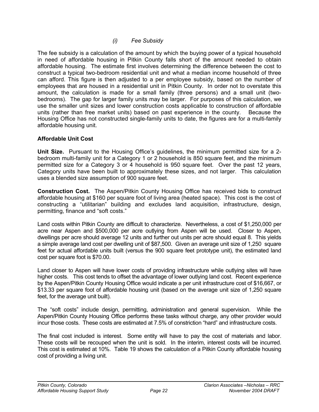*(i) Fee Subsidy* 

The fee subsidy is a calculation of the amount by which the buying power of a typical household in need of affordable housing in Pitkin County falls short of the amount needed to obtain affordable housing. The estimate first involves determining the difference between the cost to construct a typical two-bedroom residential unit and what a median income household of three can afford. This figure is then adjusted to a per employee subsidy, based on the number of employees that are housed in a residential unit in Pitkin County. In order not to overstate this amount, the calculation is made for a small family (three persons) and a small unit (twobedrooms). The gap for larger family units may be larger. For purposes of this calculation, we use the smaller unit sizes and lower construction costs applicable to construction of affordable units (rather than free market units) based on past experience in the county. Because the Housing Office has not constructed single-family units to date, the figures are for a multi-family affordable housing unit.

#### **Affordable Unit Cost**

**Unit Size.** Pursuant to the Housing Office's guidelines, the minimum permitted size for a 2 bedroom multi-family unit for a Category 1 or 2 household is 850 square feet, and the minimum permitted size for a Category 3 or 4 household is 950 square feet. Over the past 12 years, Category units have been built to approximately these sizes, and not larger. This calculation uses a blended size assumption of 900 square feet.

**Construction Cost.** The Aspen/Pitkin County Housing Office has received bids to construct affordable housing at \$160 per square foot of living area (heated space). This cost is the cost of constructing a "utilitarian" building and excludes land acquisition, infrastructure, design, permitting, finance and "soft costs."

Land costs within Pitkin County are difficult to characterize. Nevertheless, a cost of \$1,250,000 per acre near Aspen and \$500,000 per acre outlying from Aspen will be used. Closer to Aspen, dwellings per acre should average 12 units and further out units per acre should equal 8. This yields a simple average land cost per dwelling unit of \$87,500. Given an average unit size of 1,250 square feet for actual affordable units built (versus the 900 square feet prototype unit), the estimated land cost per square foot is \$70.00.

Land closer to Aspen will have lower costs of providing infrastructure while outlying sites will have higher costs. This cost tends to offset the advantage of lower outlying land cost. Recent experience by the Aspen/Pitkin County Housing Office would indicate a per unit infrastructure cost of \$16,667, or \$13.33 per square foot of affordable housing unit (based on the average unit size of 1,250 square feet, for the average unit built).

The "soft costs" include design, permitting, administration and general supervision. While the Aspen/Pitkin County Housing Office performs these tasks without charge, any other provider would incur those costs. These costs are estimated at 7.5% of constriction "hard" and infrastructure costs.

The final cost included is interest. Some entity will have to pay the cost of materials and labor. These costs will be recouped when the unit is sold. In the interim, interest costs will be incurred. This cost is estimated at 10%. Table 19 shows the calculation of a Pitkin County affordable housing cost of providing a living unit.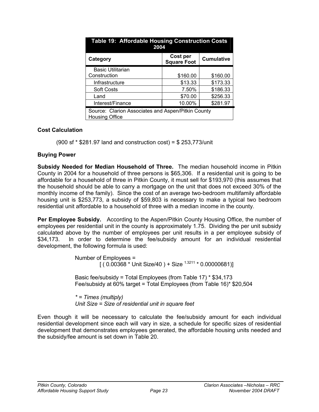| Table 19: Affordable Housing Construction Costs<br>2004              |                                |                   |  |  |  |  |
|----------------------------------------------------------------------|--------------------------------|-------------------|--|--|--|--|
| Category                                                             | Cost per<br><b>Square Foot</b> | <b>Cumulative</b> |  |  |  |  |
| <b>Basic Utilitarian</b>                                             |                                |                   |  |  |  |  |
| Construction                                                         | \$160.00                       | \$160.00          |  |  |  |  |
| Infrastructure                                                       | \$13.33                        | \$173.33          |  |  |  |  |
| <b>Soft Costs</b>                                                    | 7.50%                          | \$186.33          |  |  |  |  |
| Land                                                                 | \$70.00                        | \$256.33          |  |  |  |  |
| 10.00%<br>\$281.97<br>Interest/Finance                               |                                |                   |  |  |  |  |
| Source: Clarion Associates and Aspen/Pitkin County<br>Housing Office |                                |                   |  |  |  |  |

#### **Cost Calculation**

(900 sf \* \$281.97 land and construction cost) = \$ 253,773/unit

#### **Buying Power**

**Subsidy Needed for Median Household of Three.** The median household income in Pitkin County in 2004 for a household of three persons is \$65,306. If a residential unit is going to be affordable for a household of three in Pitkin County, it must sell for \$193,970 (this assumes that the household should be able to carry a mortgage on the unit that does not exceed 30% of the monthly income of the family). Since the cost of an average two-bedroom multifamily affordable housing unit is \$253,773, a subsidy of \$59,803 is necessary to make a typical two bedroom residential unit affordable to a household of three with a median income in the county.

**Per Employee Subsidy.** According to the Aspen/Pitkin County Housing Office, the number of employees per residential unit in the county is approximately 1.75. Dividing the per unit subsidy calculated above by the number of employees per unit results in a per employee subsidy of \$34,173. In order to determine the fee/subsidy amount for an individual residential development, the following formula is used:

> Number of Employees =  $(0.00368 * Unit Size/40) + Size<sup>1.3211</sup> * 0.00000681)]$

 Basic fee/subsidy = Total Employees (from Table 17) \* \$34,173 Fee/subsidy at 60% target = Total Employees (from Table 16)\* \$20,504

 *\* = Times (multiply) Unit Size = Size of residential unit in square feet* 

Even though it will be necessary to calculate the fee/subsidy amount for each individual residential development since each will vary in size, a schedule for specific sizes of residential development that demonstrates employees generated, the affordable housing units needed and the subsidy/fee amount is set down in Table 20.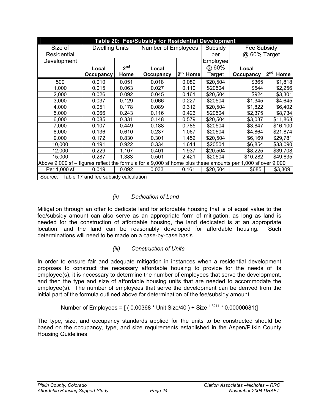| Table 20: Fee/Subsidy for Residential Development                                                           |                       |                 |                     |               |          |              |                         |
|-------------------------------------------------------------------------------------------------------------|-----------------------|-----------------|---------------------|---------------|----------|--------------|-------------------------|
| Size of                                                                                                     | <b>Dwelling Units</b> |                 | Number of Employees |               | Subsidy  | Fee Subsidy  |                         |
| Residential                                                                                                 |                       |                 |                     |               | per      | @ 60% Target |                         |
| Development                                                                                                 |                       |                 |                     |               | Employee |              |                         |
|                                                                                                             | Local                 | 2 <sup>nd</sup> | Local               |               | @ 60%    | Local        |                         |
|                                                                                                             | Occupancy             | Home            | Occupancy           | $2^{nd}$ Home | Target   | Occupancy    | 2 <sup>nd</sup><br>Home |
| 500                                                                                                         | 0.010                 | 0.051           | 0.018               | 0.089         | \$20,504 | \$365        | \$1,818                 |
| 1,000                                                                                                       | 0.015                 | 0.063           | 0.027               | 0.110         | \$20504  | \$544        | \$2,256                 |
| 2,000                                                                                                       | 0.026                 | 0.092           | 0.045               | 0.161         | \$20,504 | \$924        | \$3,301                 |
| 3,000                                                                                                       | 0.037                 | 0.129           | 0.066               | 0.227         | \$20504  | \$1,345      | \$4,645                 |
| 4,000                                                                                                       | 0.051                 | 0.178           | 0.089               | 0.312         | \$20,504 | \$1,822      | \$6,402                 |
| 5,000                                                                                                       | 0.066                 | 0.243           | 0.116               | 0.426         | \$20504  | \$2,375      | \$8,734                 |
| 6,000                                                                                                       | 0.085                 | 0.331           | 0.148               | 0.579         | \$20,504 | \$3,037      | \$11,863                |
| 7,000                                                                                                       | 0.107                 | 0.449           | 0.188               | 0.785         | \$20504  | \$3,847      | \$16,100                |
| 8,000                                                                                                       | 0.136                 | 0.610           | 0.237               | 1.067         | \$20504  | \$4,864      | \$21,874                |
| 9,000                                                                                                       | 0.172                 | 0.830           | 0.301               | 1.452         | \$20,504 | \$6,169      | \$29,781                |
| 10,000                                                                                                      | 0.191                 | 0.922           | 0.334               | 1.614         | \$20504  | \$6,854      | \$33,090                |
| 12,000                                                                                                      | 0.229                 | 1.107           | 0.401               | 1.937         | \$20,504 | \$8,225      | \$39,708                |
| 15,000                                                                                                      | 0.287                 | 1.383           | 0.501               | 2.421         | \$20504  | \$10,282     | \$49,635                |
| Above 9,000 sf – figures reflect the formula for a 9,000 sf home plus these amounts per 1,000 sf over 9,000 |                       |                 |                     |               |          |              |                         |
| Per 1,000 sf                                                                                                | 0.019                 | 0.092           | 0.033               | 0.161         | \$20,504 | \$685        | \$3,309                 |
| Source: Table 17 and fee subsidy calculation                                                                |                       |                 |                     |               |          |              |                         |

#### *(ii) Dedication of Land*

Mitigation through an offer to dedicate land for affordable housing that is of equal value to the fee/subsidy amount can also serve as an appropriate form of mitigation, as long as land is needed for the construction of affordable housing, the land dedicated is at an appropriate location, and the land can be reasonably developed for affordable housing. Such determinations will need to be made on a case-by-case basis.

#### *(iii) Construction of Units*

In order to ensure fair and adequate mitigation in instances when a residential development proposes to construct the necessary affordable housing to provide for the needs of its employee(s), it is necessary to determine the number of employees that serve the development, and then the type and size of affordable housing units that are needed to accommodate the employee(s). The number of employees that serve the development can be derived from the initial part of the formula outlined above for determination of the fee/subsidy amount.

#### Number of Employees =  $(0.00368 * Unit Size/40) + Size^{1.3211} * 0.00000681)$

The type, size, and occupancy standards applied for the units to be constructed should be based on the occupancy, type, and size requirements established in the Aspen/Pitkin County Housing Guidelines.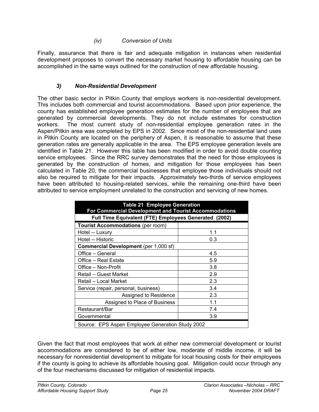#### *(iv) Conversion of Units*

Finally, assurance that there is fair and adequate mitigation in instances when residential development proposes to convert the necessary market housing to affordable housing can be accomplished in the same ways outlined for the construction of new affordable housing.

#### *3) Non-Residential Development*

The other basic sector in Pitkin County that employs workers is non-residential development. This includes both commercial and tourist accommodations. Based upon prior experience, the county has established employee generation estimates for the number of employees that are generated by commercial developments. They do not include estimates for construction workers. The most current study of non-residential employee generation rates in the Aspen/Pitkin area was completed by EPS in 2002. Since most of the non-residential land uses in Pitkin County are located on the periphery of Aspen, it is reasonable to assume that these generation rates are generally applicable in the area. The EPS employee generation levels are identified in Table 21. However this table has been modified in order to avoid double counting service employees. Since the RRC survey demonstrates that the need for those employees is generated by the construction of homes, and mitigation for those employees has been calculated in Table 20, the commercial businesses that employee those individuals should not also be required to mitigate for their impacts. Approximately two-thirds of service employees have been attributed to housing-related services, while the remaining one-third have been attributed to service employment unrelated to the construction and servicing of new homes.

| <b>Table 21 Employee Generation</b><br>For Commercial Development and Tourist Accommodations |     |  |  |  |  |
|----------------------------------------------------------------------------------------------|-----|--|--|--|--|
| Full Time Equivalent (FTE) Employees Generated (2002)                                        |     |  |  |  |  |
| <b>Tourist Accommodations (per room)</b>                                                     |     |  |  |  |  |
| Hotel -- Luxury                                                                              | 1.1 |  |  |  |  |
| Hotel -- Historic                                                                            | 0.3 |  |  |  |  |
| <b>Commercial Development</b> (per 1,000 sf)                                                 |     |  |  |  |  |
| Office - General                                                                             | 4.5 |  |  |  |  |
| Office – Real Estate                                                                         | 5.9 |  |  |  |  |
| Office - Non-Profit<br>3.8                                                                   |     |  |  |  |  |
| Retail - Guest Market                                                                        | 2.9 |  |  |  |  |
| Retail - Local Market                                                                        | 2.3 |  |  |  |  |
| Service (repair, personal, business)                                                         | 3.4 |  |  |  |  |
| Assigned to Residence                                                                        | 2.3 |  |  |  |  |
| Assigned to Place of Business                                                                | 1.1 |  |  |  |  |
| Restaurant/Bar                                                                               | 7.4 |  |  |  |  |
| 3.9<br>Governmental                                                                          |     |  |  |  |  |
| Source: EPS Aspen Employee Generation Study 2002                                             |     |  |  |  |  |

Given the fact that most employees that work at either new commercial development or tourist accommodations are considered to be of either low, moderate of middle income, it will be necessary for nonresidential development to mitigate for local housing costs for their employees if the county is going to achieve its affordable housing goal. Mitigation could occur through any of the four mechanisms discussed for mitigation of residential impacts.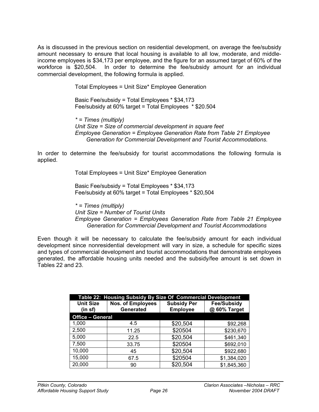As is discussed in the previous section on residential development, on average the fee/subsidy amount necessary to ensure that local housing is available to all low, moderate, and middleincome employees is \$34,173 per employee, and the figure for an assumed target of 60% of the workforce is \$20,504. In order to determine the fee/subsidy amount for an individual commercial development, the following formula is applied.

> Total Employees = Unit Size\* Employee Generation Basic Fee/subsidy = Total Employees \* \$34,173 Fee/subsidy at 60% target = Total Employees \* \$20.504

 *\* = Times (multiply) Unit Size = Size of commercial development in square feet Employee Generation = Employee Generation Rate from Table 21 Employee Generation for Commercial Development and Tourist Accommodations.* 

In order to determine the fee/subsidy for tourist accommodations the following formula is applied.

Total Employees = Unit Size\* Employee Generation

 Basic Fee/subsidy = Total Employees \* \$34,173 Fee/subsidy at 60% target = Total Employees \* \$20,504

 *\* = Times (multiply) Unit Size = Number of Tourist Units Employee Generation = Employees Generation Rate from Table 21 Employee Generation for Commercial Development and Tourist Accommodations* 

Even though it will be necessary to calculate the fee/subsidy amount for each individual development since nonresidential development will vary in size, a schedule for specific sizes and types of commercial development and tourist accommodations that demonstrate employees generated, the affordable housing units needed and the subsidy/fee amount is set down in Tables 22 and 23.

| Table 22: Housing Subsidy By Size Of Commercial Development |                                       |                                       |                                    |  |  |  |
|-------------------------------------------------------------|---------------------------------------|---------------------------------------|------------------------------------|--|--|--|
| <b>Unit Size</b><br>(in sf)                                 | <b>Nos. of Employees</b><br>Generated | <b>Subsidy Per</b><br><b>Employee</b> | <b>Fee/Subsidy</b><br>@ 60% Target |  |  |  |
| <b>Office - General</b>                                     |                                       |                                       |                                    |  |  |  |
| 1,000                                                       | 4.5                                   | \$20,504                              | \$92,268                           |  |  |  |
| 2,500                                                       | 11.25                                 | \$20504                               | \$230,670                          |  |  |  |
| 5,000                                                       | 22.5                                  | \$20,504                              | \$461,340                          |  |  |  |
| 7,500                                                       | 33.75                                 | \$20504                               | \$692,010                          |  |  |  |
| 10,000                                                      | 45                                    | \$20,504                              | \$922,680                          |  |  |  |
| 15,000                                                      | 67.5                                  | \$20504                               | \$1,384,020                        |  |  |  |
| 20,000                                                      | 90                                    | \$20,504                              | \$1,845,360                        |  |  |  |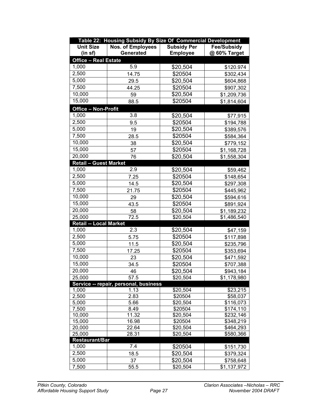|                               | Table 22: Housing Subsidy By Size Of Commercial Development |                    |                    |
|-------------------------------|-------------------------------------------------------------|--------------------|--------------------|
| <b>Unit Size</b>              | <b>Nos. of Employees</b>                                    | <b>Subsidy Per</b> | <b>Fee/Subsidy</b> |
| (in sf)                       | Generated                                                   | <b>Employee</b>    | @ 60% Target       |
| <b>Office - Real Estate</b>   |                                                             |                    |                    |
| 1,000                         | 5.9                                                         | \$20,504           | \$120.974          |
| 2,500                         | 14.75                                                       | \$20504            | \$302,434          |
| 5,000                         | 29.5                                                        | \$20,504           | \$604,868          |
| 7,500                         | 44.25                                                       | \$20504            | \$907,302          |
| 10,000                        | 59                                                          | \$20,504           | \$1,209,736        |
| 15,000                        | 88.5                                                        | \$20504            | \$1,814,604        |
| Office - Non-Profit           |                                                             |                    |                    |
| 1,000                         | 3.8                                                         | \$20,504           | \$77,915           |
| 2,500                         | 9.5                                                         | \$20504            | \$194,788          |
| 5,000                         | 19                                                          | \$20,504           | \$389,576          |
| $\overline{7},500$            | 28.5                                                        | \$20504            | \$584,364          |
| 10,000                        | 38                                                          | \$20,504           | \$779,152          |
| 15,000                        | 57                                                          | \$20504            | \$1,168,728        |
| 20,000                        | 76                                                          | \$20,504           | \$1,558,304        |
| <b>Retail - Guest Market</b>  |                                                             |                    |                    |
| 1,000                         | 2.9                                                         | \$20,504           | \$59,462           |
| 2,500                         | 7.25                                                        | \$20504            | \$148,654          |
| 5,000                         | 14.5                                                        | \$20,504           | \$297,308          |
| 7,500                         | 21.75                                                       | \$20504            | \$445,962          |
| 10,000                        | 29                                                          | \$20,504           | \$594,616          |
| 15,000                        | 43.5                                                        | \$20504            | \$891,924          |
| 20,000                        | 58                                                          | \$20,504           | \$1,189,232        |
| 25,000                        | 72.5                                                        | \$20,504           | \$1,486,540        |
| <b>Retail -- Local Market</b> |                                                             |                    |                    |
| 1,000                         | 2.3                                                         | \$20,504           | \$47,159           |
| 2,500                         | 5.75                                                        | \$20504            | \$117,898          |
| 5,000                         | 11.5                                                        | \$20,504           | \$235,796          |
| 7,500                         | 17.25                                                       | \$20504            | \$353,694          |
| 10,000                        | 23                                                          | \$20,504           | \$471,592          |
| 15,000                        | 34.5                                                        | \$20504            | \$707,388          |
| 20,000                        | 46                                                          | \$20,504           | \$943,184          |
| 25,000                        | 57.5                                                        | \$20,504           | \$1,178,980        |
|                               | Service -- repair, personal, business                       |                    |                    |
| 1,000                         | 1.13                                                        | \$20,504           | \$23,215           |
| 2,500                         | 2.83                                                        | \$20504            | \$58,037           |
| 5,000                         | 5.66                                                        | \$20,504           | \$116,073          |
| 7,500                         | 8.49                                                        | \$20504            | \$174,110          |
| 10,000                        | 11.32                                                       | \$20,504           | \$232,146          |
| 15,000                        | 16.98                                                       | \$20504            | \$348,219          |
| 20,000                        | 22.64                                                       | \$20,504           | \$464,293          |
| 25,000<br>Restaurant/Bar      | 28.31                                                       | \$20,504           | \$580,366          |
| 1,000                         | 7.4                                                         | \$20504            | \$151,730          |
| 2,500                         | 18.5                                                        | \$20,504           | \$379,324          |
| 5,000                         | 37                                                          | \$20,504           | \$758,648          |
| 7,500                         | 55.5                                                        | \$20,504           | \$1,137,972        |
|                               |                                                             |                    |                    |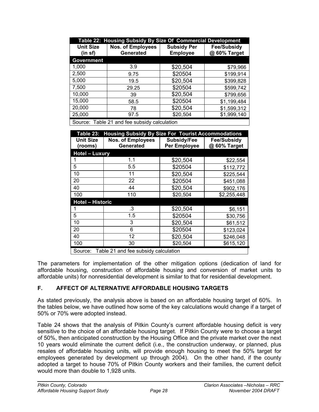|                             | Table 22: Housing Subsidy By Size Of Commercial Development |                                       |                                    |
|-----------------------------|-------------------------------------------------------------|---------------------------------------|------------------------------------|
| <b>Unit Size</b><br>(in sf) | <b>Nos. of Employees</b><br>Generated                       | <b>Subsidy Per</b><br><b>Employee</b> | <b>Fee/Subsidy</b><br>@ 60% Target |
| <b>Government</b>           |                                                             |                                       |                                    |
| 1,000                       | 3.9                                                         | \$20,504                              | \$79,966                           |
| 2,500                       | 9.75                                                        | \$20504                               | \$199,914                          |
| 5,000                       | 19.5                                                        | \$20,504                              | \$399,828                          |
| 7,500                       | 29.25                                                       | \$20504                               | \$599,742                          |
| 10,000                      | 39                                                          | \$20,504                              | \$799,656                          |
| 15,000                      | 58.5                                                        | \$20504                               | \$1,199,484                        |
| 20,000                      | 78                                                          | \$20,504                              | \$1,599,312                        |
| 25,000                      | 97.5                                                        | \$20,504                              | \$1,999,140                        |
|                             | Counsel Table Od and face subsidiated and attack            |                                       |                                    |

Source: Table 21 and fee subsidy calculation

| Table 23:                   | <b>Housing Subsidy By Size For Tourist Accommodations</b> |                             |                                    |
|-----------------------------|-----------------------------------------------------------|-----------------------------|------------------------------------|
| <b>Unit Size</b><br>(rooms) | <b>Nos. of Employees</b><br>Generated                     | Subsidy/Fee<br>Per Employee | <b>Fee/Subsidy</b><br>@ 60% Target |
| <b>Hotel - Luxury</b>       |                                                           |                             |                                    |
|                             | 1.1                                                       | \$20,504                    | \$22,554                           |
| 5                           | 5.5                                                       | \$20504                     | \$112,772                          |
| 10                          | 11                                                        | \$20,504                    | \$225,544                          |
| 20                          | 22                                                        | \$20504                     | \$451,088                          |
| 40                          | 44                                                        | \$20,504                    | \$902,176                          |
| 100                         | 110                                                       | \$20,504                    | \$2,255,448                        |
| <b>Hotel - Historic</b>     |                                                           |                             |                                    |
|                             | .3                                                        | \$20,504                    | \$6,151                            |
| 5                           | 1.5                                                       | \$20504                     | \$30,756                           |
| 10                          | 3                                                         | \$20,504                    | \$61,512                           |
| 20                          | 6                                                         | \$20504                     | \$123,024                          |
| 40                          | 12                                                        | \$20,504                    | \$246,048                          |
| 100                         | 30                                                        | \$20,504                    | \$615,120                          |
|                             | Source: Table 21 and fee subsidy calculation              |                             |                                    |

The parameters for implementation of the other mitigation options (dedication of land for affordable housing, construction of affordable housing and conversion of market units to affordable units) for nonresidential development is similar to that for residential development.

#### **F. AFFECT OF ALTERNATIVE AFFORDABLE HOUSING TARGETS**

As stated previously, the analysis above is based on an affordable housing target of 60%. In the tables below, we have outlined how some of the key calculations would change if a target of 50% or 70% were adopted instead.

Table 24 shows that the analysis of Pitkin County's current affordable housing deficit is very sensitive to the choice of an affordable housing target. If Pitkin County were to choose a target of 50%, then anticipated construction by the Housing Office and the private market over the next 10 years would eliminate the current deficit (i.e., the construction underway, or planned, plus resales of affordable housing units, will provide enough housing to meet the 50% target for employees generated by development up through 2004). On the other hand, if the county adopted a target to house 70% of Pitkin County workers and their families, the current deficit would more than double to 1,928 units.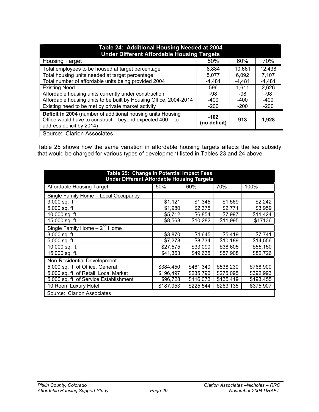| Table 24: Additional Housing Needed at 2004<br><b>Under Different Affordable Housing Targets</b>                                                      |                        |        |        |
|-------------------------------------------------------------------------------------------------------------------------------------------------------|------------------------|--------|--------|
| <b>Housing Target</b>                                                                                                                                 | 50%                    | 60%    | 70%    |
| Total employees to be housed at target percentage                                                                                                     | 8,884                  | 10,661 | 12,438 |
| Total housing units needed at target percentage                                                                                                       | 5,077                  | 6,092  | 7,107  |
| Total number of affordable units being provided 2004                                                                                                  | -4,481                 | -4,481 | -4.481 |
| <b>Existing Need</b>                                                                                                                                  | 596                    | 1,611  | 2,626  |
| Affordable housing units currently under construction                                                                                                 | -98                    | -98    | -98    |
| Affordable housing units to be built by Housing Office, 2004-2014                                                                                     | -400                   | -400   | -400   |
| Existing need to be met by private market activity                                                                                                    | $-200$                 | $-200$ | $-200$ |
| Deficit in 2004 (number of additional housing units Housing<br>Office would have to construct – beyond expected 400 -- to<br>address deficit by 2014) | $-102$<br>(no deficit) | 913    | 1,928  |
| Source: Clarion Associates                                                                                                                            |                        |        |        |

Table 25 shows how the same variation in affordable housing targets affects the fee subsidy that would be charged for various types of development listed in Tables 23 and 24 above.

| Table 25: Change in Potential Impact Fees<br><b>Under Different Affordable Housing Targets</b> |           |           |           |           |
|------------------------------------------------------------------------------------------------|-----------|-----------|-----------|-----------|
| Affordable Housing Target                                                                      | 50%       | 60%       | 70%       | 100%      |
| Single Family Home - Local Occupancy                                                           |           |           |           |           |
| $3,000$ sq. ft.                                                                                | \$1,121   | \$1,345   | \$1,569   | \$2,242   |
| 5,000 sq. ft.                                                                                  | \$1,980   | \$2,375   | \$2,771   | \$3,959   |
| 10,000 sq. ft.                                                                                 | \$5,712   | \$6,854   | \$7,997   | \$11,424  |
| 15,000 sq. ft.                                                                                 | \$8,568   | \$10,282  | \$11,995  | \$17136   |
| Single Family Home $-2^{nd}$ Home                                                              |           |           |           |           |
| 3,000 sq. ft.                                                                                  | \$3,870   | \$4,645   | \$5,419   | \$7,741   |
| 5,000 sq. ft.                                                                                  | \$7,278   | \$8,734   | \$10,189  | \$14,556  |
| 10,000 sq. ft.                                                                                 | \$27,575  | \$33,090  | \$38,605  | \$55,150  |
| 15,000 sq. ft.                                                                                 | \$41,363  | \$49,635  | \$57,908  | \$82,726  |
| <b>Non-Residential Development</b>                                                             |           |           |           |           |
| 5,000 sq. ft. of Office, General                                                               | \$384,450 | \$461,340 | \$538,230 | \$768,900 |
| 5,000 sq. ft. of Retail, Local Market                                                          | \$196,497 | \$235,796 | \$275,095 | \$392,993 |
| 5,000 sq. ft. of Service Establishment                                                         | \$96,728  | \$116,073 | \$135,419 | \$193,455 |
| 10 Room Luxury Hotel                                                                           | \$187,953 | \$225,544 | \$263,135 | \$375,907 |
| Source: Clarion Associates                                                                     |           |           |           |           |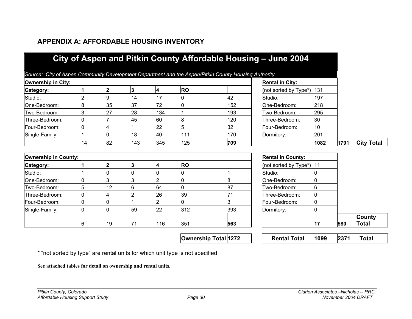|                             |    |                 |                |     | Source: City of Aspen Community Development Department and the Aspen/Pitkin County Housing Authority |     |                          |      |      |                        |
|-----------------------------|----|-----------------|----------------|-----|------------------------------------------------------------------------------------------------------|-----|--------------------------|------|------|------------------------|
| <b>Ownership in City:</b>   |    |                 |                |     |                                                                                                      |     | <b>Rental in City:</b>   |      |      |                        |
| Category:                   |    | 2               | 3              | Ι4  | <b>RO</b>                                                                                            |     | (not sorted by Type*)    | 131  |      |                        |
| Studio:                     |    | 9               | 14             | 17  |                                                                                                      | 42  | Studio:                  | 197  |      |                        |
| One-Bedroom:                | 8  | 35              | 37             | 72  |                                                                                                      | 152 | One-Bedroom:             | 218  |      |                        |
| Two-Bedroom:                | 3  | 27              | 28             | 134 |                                                                                                      | 193 | Two-Bedroom:             | 295  |      |                        |
| Three-Bedroom:              | 0  |                 | 45             | 60  | 8                                                                                                    | 120 | Three-Bedroom:           | 30   |      |                        |
| Four-Bedroom:               |    |                 |                | 22  | 5                                                                                                    | 32  | Four-Bedroom:            | 10   |      |                        |
| Single-Family:              |    |                 | 18             | 40  | 111                                                                                                  | 170 | Dormitory:               | 201  |      |                        |
|                             | 14 | 82              | 143            | 345 | 125                                                                                                  | 709 |                          | 1082 | 1791 | <b>City Total</b>      |
| <b>Ownership in County:</b> |    |                 |                |     |                                                                                                      |     | <b>Rental in County:</b> |      |      |                        |
| Category:                   |    | 2               | 3              | 4   | <b>RO</b>                                                                                            |     | (not sorted by Type*)    | 11   |      |                        |
| Studio:                     |    |                 |                |     |                                                                                                      |     | Studio:                  |      |      |                        |
| One-Bedroom:                |    | 3               | 3              | 2   |                                                                                                      | 8   | One-Bedroom:             |      |      |                        |
| Two-Bedroom:                | 5  | 12 <sub>2</sub> | 6              | 64  | 0                                                                                                    | 87  | Two-Bedroom:             | 6    |      |                        |
| Three-Bedroom:              |    |                 | $\overline{2}$ | 26  | 39                                                                                                   | 71  | Three-Bedroom:           |      |      |                        |
| Four-Bedroom:               | ი  |                 |                | l2. |                                                                                                      | 3   | Four-Bedroom:            | 0    |      |                        |
| Single-Family:              |    |                 | 59             | 22  | 312                                                                                                  | 393 | Dormitory:               |      |      |                        |
|                             | 6  | 19              | 71             | 116 | 351                                                                                                  | 563 |                          | 17   | 580  | County<br><b>Total</b> |

**APPENDIX A: AFFORDABLE HOUSING INVENTORY** 

\* "not sorted by type" are rental units for which unit type is not specified

**See attached tables for detail on ownership and rental units.**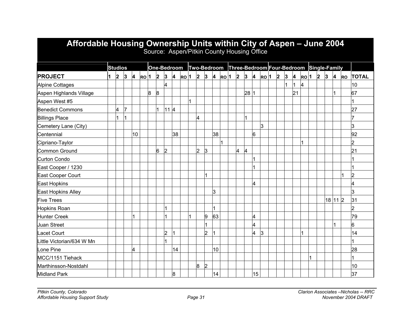| Affordable Housing Ownership Units within City of Aspen – June 2004 |   |                |   |    |                   |   |                |                |                         |       |                |                | Source: Aspen/Pitkin County Housing Office |                   |                |                |                |                                                      |                |           |    |                   |           |           |                         |           |                |
|---------------------------------------------------------------------|---|----------------|---|----|-------------------|---|----------------|----------------|-------------------------|-------|----------------|----------------|--------------------------------------------|-------------------|----------------|----------------|----------------|------------------------------------------------------|----------------|-----------|----|-------------------|-----------|-----------|-------------------------|-----------|----------------|
|                                                                     |   | <b>Studios</b> |   |    |                   |   |                |                | One-Bedroom             |       |                |                |                                            |                   |                |                |                | Two-Bedroom Three-Bedroom Four-Bedroom Single-Family |                |           |    |                   |           |           |                         |           |                |
| <b>PROJECT</b>                                                      | 1 | $\mathbf{2}$   | 3 | 4  | $RO$ <sup>1</sup> |   | $\vert$ 2      | 3              | $\overline{\mathbf{4}}$ | leo 1 | $\overline{2}$ | 13             | 4                                          | $RO$ <sup>1</sup> | $\overline{2}$ | $\vert$ 3      | 4              | $RO$ <sup>1</sup>                                    | $\overline{2}$ | $\vert$ 3 | 4  | $RO$ <sup>1</sup> | $\vert$ 2 | $\vert$ 3 | $\overline{\mathbf{4}}$ | <b>RO</b> | <b>TOTAL</b>   |
| <b>Alpine Cottages</b>                                              |   |                |   |    |                   |   |                | 4              |                         |       |                |                |                                            |                   |                |                |                |                                                      |                | 1         |    | 4                 |           |           |                         |           | 10             |
| Aspen Highlands Village                                             |   |                |   |    |                   | 8 | $\overline{8}$ |                |                         |       |                |                |                                            |                   |                | 281            |                |                                                      |                |           | 21 |                   |           |           | 11                      |           | 67             |
| Aspen West #5                                                       |   |                |   |    |                   |   |                |                |                         |       |                |                |                                            |                   |                |                |                |                                                      |                |           |    |                   |           |           |                         |           |                |
| <b>Benedict Commons</b>                                             |   | 4              |   |    |                   |   | 1              | 11   4         |                         |       |                |                |                                            |                   |                |                |                |                                                      |                |           |    |                   |           |           |                         |           | 27             |
| <b>Billings Place</b>                                               |   |                |   |    |                   |   |                |                |                         |       | 4              |                |                                            |                   |                |                |                |                                                      |                |           |    |                   |           |           |                         |           |                |
| Cemetery Lane (City)                                                |   |                |   |    |                   |   |                |                |                         |       |                |                |                                            |                   |                |                |                | 3                                                    |                |           |    |                   |           |           |                         |           | 3              |
| Centennial                                                          |   |                |   | 10 |                   |   |                |                | 38                      |       |                |                | 38                                         |                   |                |                | 6              |                                                      |                |           |    |                   |           |           |                         |           | 92             |
| Cipriano-Taylor                                                     |   |                |   |    |                   |   |                |                |                         |       |                |                |                                            |                   |                |                |                |                                                      |                |           |    |                   |           |           |                         |           | $\overline{2}$ |
| Common Ground                                                       |   |                |   |    |                   |   | 6              | $\overline{2}$ |                         |       | $\overline{2}$ | 3              |                                            |                   | 4              | $\overline{4}$ |                |                                                      |                |           |    |                   |           |           |                         |           | 21             |
| Curton Condo                                                        |   |                |   |    |                   |   |                |                |                         |       |                |                |                                            |                   |                |                | $\overline{1}$ |                                                      |                |           |    |                   |           |           |                         |           |                |
| East Cooper / 1230                                                  |   |                |   |    |                   |   |                |                |                         |       |                |                |                                            |                   |                |                |                |                                                      |                |           |    |                   |           |           |                         |           |                |
| East Cooper Court                                                   |   |                |   |    |                   |   |                |                |                         |       |                |                |                                            |                   |                |                |                |                                                      |                |           |    |                   |           |           |                         |           | $\overline{2}$ |
| East Hopkins                                                        |   |                |   |    |                   |   |                |                |                         |       |                |                |                                            |                   |                |                | 4              |                                                      |                |           |    |                   |           |           |                         |           | 4              |
| East Hopkins Alley                                                  |   |                |   |    |                   |   |                |                |                         |       |                |                | 3                                          |                   |                |                |                |                                                      |                |           |    |                   |           |           |                         |           | 3              |
| <b>Five Trees</b>                                                   |   |                |   |    |                   |   |                |                |                         |       |                |                |                                            |                   |                |                |                |                                                      |                |           |    |                   |           | 18 11 2   |                         |           | 31             |
| <b>Hopkins Roan</b>                                                 |   |                |   |    |                   |   |                | 11             |                         |       |                |                | 1                                          |                   |                |                |                |                                                      |                |           |    |                   |           |           |                         |           | 2              |
| <b>Hunter Creek</b>                                                 |   |                |   |    |                   |   |                |                |                         |       |                | 9              | 63                                         |                   |                |                | 4              |                                                      |                |           |    |                   |           |           |                         |           | 79             |
| <b>Juan Street</b>                                                  |   |                |   |    |                   |   |                |                |                         |       |                |                |                                            |                   |                |                | 4              |                                                      |                |           |    |                   |           |           |                         |           | 6              |
| <b>Lacet Court</b>                                                  |   |                |   |    |                   |   |                | 2              |                         |       |                | 2              |                                            |                   |                |                | 4              | 3                                                    |                |           |    |                   |           |           |                         |           | 14             |
| Little Victorian/634 W Mn                                           |   |                |   |    |                   |   |                | И              |                         |       |                |                |                                            |                   |                |                |                |                                                      |                |           |    |                   |           |           |                         |           |                |
| Lone Pine                                                           |   |                |   | 4  |                   |   |                |                | 14                      |       |                |                | 10                                         |                   |                |                |                |                                                      |                |           |    |                   |           |           |                         |           | 28             |
| MCC/1151 Tiehack                                                    |   |                |   |    |                   |   |                |                |                         |       |                |                |                                            |                   |                |                |                |                                                      |                |           |    |                   |           |           |                         |           |                |
| Marthinsson-Nostdahl                                                |   |                |   |    |                   |   |                |                |                         |       | 8              | $\overline{2}$ |                                            |                   |                |                |                |                                                      |                |           |    |                   |           |           |                         |           | 10             |
| <b>Midland Park</b>                                                 |   |                |   |    |                   |   |                |                | 8                       |       |                |                | 14                                         |                   |                |                | 15             |                                                      |                |           |    |                   |           |           |                         |           | 37             |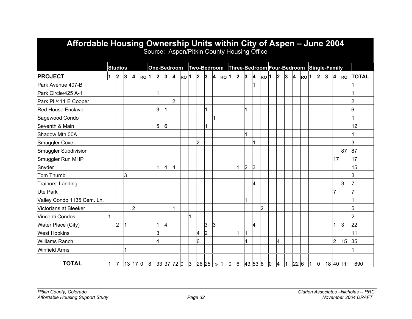| Affordable Housing Ownership Units within City of Aspen - June 2004 |                |                 |                |                         |                 |           |                |                |                   |   | Source: Aspen/Pitkin County Housing Office                       |                |                         |      |                         |                |                     |                |   |   |                                                        |      |           |           |                |                                             |                |
|---------------------------------------------------------------------|----------------|-----------------|----------------|-------------------------|-----------------|-----------|----------------|----------------|-------------------|---|------------------------------------------------------------------|----------------|-------------------------|------|-------------------------|----------------|---------------------|----------------|---|---|--------------------------------------------------------|------|-----------|-----------|----------------|---------------------------------------------|----------------|
|                                                                     |                | <b>Studios</b>  |                |                         |                 |           |                |                |                   |   | One-Bedroom Two-Bedroom Three-Bedroom Four-Bedroom Single-Family |                |                         |      |                         |                |                     |                |   |   |                                                        |      |           |           |                |                                             |                |
| <b>PROJECT</b>                                                      | $\blacksquare$ | 2               | $\overline{3}$ | $\overline{\mathbf{A}}$ | RO <sub>1</sub> | $\vert$ 2 | $\vert$ 3      | $\overline{A}$ | $RO$ <sup>1</sup> |   | $\vert$ 2                                                        | $\mathbf{3}$   | $\overline{\mathbf{A}}$ | RO 1 | $\overline{\mathbf{2}}$ | $\overline{3}$ | $\overline{\bf{4}}$ | RO 1   2       |   | 3 | $\overline{\mathbf{A}}$                                | RO 1 | $\vert$ 2 | $\vert$ 3 | $\vert$ 4      |                                             | RO TOTAL       |
| Park Avenue 407-B                                                   |                |                 |                |                         |                 |           |                |                |                   |   |                                                                  |                |                         |      |                         |                | $\overline{1}$      |                |   |   |                                                        |      |           |           |                |                                             |                |
| Park Circle/425 A-1                                                 |                |                 |                |                         |                 |           |                |                |                   |   |                                                                  |                |                         |      |                         |                |                     |                |   |   |                                                        |      |           |           |                |                                             |                |
| Park Pl./411 E Cooper                                               |                |                 |                |                         |                 |           |                | $\overline{2}$ |                   |   |                                                                  |                |                         |      |                         |                |                     |                |   |   |                                                        |      |           |           |                |                                             | $\overline{2}$ |
| <b>Red House Enclave</b>                                            |                |                 |                |                         |                 | 3         |                |                |                   |   |                                                                  |                |                         |      |                         |                |                     |                |   |   |                                                        |      |           |           |                |                                             | 6              |
| Sagewood Condo                                                      |                |                 |                |                         |                 |           |                |                |                   |   |                                                                  |                |                         |      |                         |                |                     |                |   |   |                                                        |      |           |           |                |                                             |                |
| Seventh & Main                                                      |                |                 |                |                         |                 | 5         | 6              |                |                   |   |                                                                  |                |                         |      |                         |                |                     |                |   |   |                                                        |      |           |           |                |                                             | 12             |
| Shadow Mtn 00A                                                      |                |                 |                |                         |                 |           |                |                |                   |   |                                                                  |                |                         |      |                         | 1              |                     |                |   |   |                                                        |      |           |           |                |                                             |                |
| Smuggler Cove                                                       |                |                 |                |                         |                 |           |                |                |                   |   | 2                                                                |                |                         |      |                         |                | $\overline{1}$      |                |   |   |                                                        |      |           |           |                |                                             | 3              |
| Smuggler Subdivision                                                |                |                 |                |                         |                 |           |                |                |                   |   |                                                                  |                |                         |      |                         |                |                     |                |   |   |                                                        |      |           |           |                | 87                                          | 87             |
| Smuggler Run MHP                                                    |                |                 |                |                         |                 |           |                |                |                   |   |                                                                  |                |                         |      |                         |                |                     |                |   |   |                                                        |      |           |           | 17             |                                             | 17             |
| Snyder                                                              |                |                 |                |                         |                 |           | $\overline{4}$ | 4              |                   |   |                                                                  |                |                         |      |                         | $\overline{2}$ | 3                   |                |   |   |                                                        |      |           |           |                |                                             | 15             |
| Tom Thumb                                                           |                |                 | 3              |                         |                 |           |                |                |                   |   |                                                                  |                |                         |      |                         |                |                     |                |   |   |                                                        |      |           |           |                |                                             | 3              |
| <b>Trainors' Landing</b>                                            |                |                 |                |                         |                 |           |                |                |                   |   |                                                                  |                |                         |      |                         |                | 4                   |                |   |   |                                                        |      |           |           |                | 3                                           |                |
| <b>Ute Park</b>                                                     |                |                 |                |                         |                 |           |                |                |                   |   |                                                                  |                |                         |      |                         |                |                     |                |   |   |                                                        |      |           |           | $\overline{7}$ |                                             |                |
| Valley Condo 1135 Cem. Ln.                                          |                |                 |                |                         |                 |           |                |                |                   |   |                                                                  |                |                         |      |                         |                |                     |                |   |   |                                                        |      |           |           |                |                                             |                |
| <b>Victorians at Bleeker</b>                                        |                |                 |                | $\overline{2}$          |                 |           |                |                |                   |   |                                                                  |                |                         |      |                         |                |                     | $\overline{2}$ |   |   |                                                        |      |           |           |                |                                             | 5              |
| Vincenti Condos                                                     |                |                 |                |                         |                 |           |                |                |                   | 1 |                                                                  |                |                         |      |                         |                |                     |                |   |   |                                                        |      |           |           |                |                                             | $\overline{2}$ |
| Water Place (City)                                                  |                | $\overline{2}$  |                |                         |                 |           | 4              |                |                   |   |                                                                  | 3              | I3                      |      |                         |                | 4                   |                |   |   |                                                        |      |           |           |                | $\mathsf{S}$                                | 22             |
| <b>West Hopkins</b>                                                 |                |                 |                |                         |                 | 3         |                |                |                   |   | 4                                                                | $\overline{2}$ |                         |      |                         |                |                     |                |   |   |                                                        |      |           |           |                |                                             | 11             |
| <b>Williams Ranch</b>                                               |                |                 |                |                         |                 | 4         |                |                |                   |   | 6                                                                |                |                         |      |                         | 4              |                     |                | 4 |   |                                                        |      |           |           | $\overline{2}$ | 15                                          | 35             |
| <b>Winfield Arms</b>                                                |                |                 |                |                         |                 |           |                |                |                   |   |                                                                  |                |                         |      |                         |                |                     |                |   |   |                                                        |      |           |           |                |                                             |                |
| <b>TOTAL</b>                                                        | $\overline{1}$ | $\vert 7 \vert$ |                |                         |                 |           |                |                |                   |   |                                                                  |                |                         |      |                         |                |                     |                |   |   | $\begin{vmatrix} 0 & 4 & 1 & 22 & 6 & 1 \end{vmatrix}$ |      |           |           |                | $\vert 0 \vert 18 \vert 40 \vert 111 \vert$ | 690            |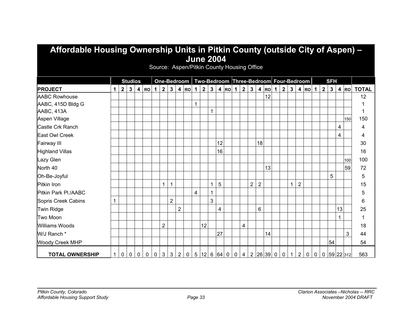| Affordable Housing Ownership Units in Pitkin County (outside City of Aspen) – |             |              |                |                         |             |                |                |                |                |                                                          |              |    |              |                  |                    |             |                |                |                |          |              |                |              |                |                             |             |             |            |    |           |              |
|-------------------------------------------------------------------------------|-------------|--------------|----------------|-------------------------|-------------|----------------|----------------|----------------|----------------|----------------------------------------------------------|--------------|----|--------------|------------------|--------------------|-------------|----------------|----------------|----------------|----------|--------------|----------------|--------------|----------------|-----------------------------|-------------|-------------|------------|----|-----------|--------------|
|                                                                               |             |              |                |                         |             |                |                |                |                |                                                          |              |    |              | <b>June 2004</b> |                    |             |                |                |                |          |              |                |              |                |                             |             |             |            |    |           |              |
|                                                                               |             |              |                |                         |             |                |                |                |                | Source: Aspen/Pitkin County Housing Office               |              |    |              |                  |                    |             |                |                |                |          |              |                |              |                |                             |             |             |            |    |           |              |
|                                                                               |             |              | <b>Studios</b> |                         |             |                |                |                |                | One-Bedroom   Two-Bedroom   Three-Bedroom   Four-Bedroom |              |    |              |                  |                    |             |                |                |                |          |              |                |              |                |                             |             |             | <b>SFH</b> |    |           |              |
| <b>PROJECT</b>                                                                | 1           | $\mathbf{2}$ | 3 <sup>1</sup> | $\overline{\mathbf{4}}$ | <b>RO</b>   | 1 <sup>1</sup> | $\overline{2}$ |                |                | $3   4   \text{RO}$                                      | $1 \mid$     | 2  | $\mathbf{3}$ |                  | $4$ Ro $1$   2   3 |             |                |                |                | $ 4 $ RO | $\mathbf{1}$ | $\overline{2}$ | $\mathbf{3}$ |                | $4 \vert \text{RO} \vert 1$ |             |             | $2 \mid 3$ |    | 4 RO      | <b>TOTAL</b> |
| <b>AABC Rowhouse</b>                                                          |             |              |                |                         |             |                |                |                |                |                                                          |              |    |              |                  |                    |             |                |                |                | 12       |              |                |              |                |                             |             |             |            |    |           | 12           |
| AABC, 415D Bldg G                                                             |             |              |                |                         |             |                |                |                |                |                                                          | $\mathbf{1}$ |    |              |                  |                    |             |                |                |                |          |              |                |              |                |                             |             |             |            |    |           |              |
| AABC, 413A                                                                    |             |              |                |                         |             |                |                |                |                |                                                          |              |    | 1            |                  |                    |             |                |                |                |          |              |                |              |                |                             |             |             |            |    |           | 1            |
| Aspen Village                                                                 |             |              |                |                         |             |                |                |                |                |                                                          |              |    |              |                  |                    |             |                |                |                |          |              |                |              |                |                             |             |             |            |    | 150       | 150          |
| Castle Crk Ranch                                                              |             |              |                |                         |             |                |                |                |                |                                                          |              |    |              |                  |                    |             |                |                |                |          |              |                |              |                |                             |             |             |            | 4  |           | 4            |
| East Owl Creek                                                                |             |              |                |                         |             |                |                |                |                |                                                          |              |    |              |                  |                    |             |                |                |                |          |              |                |              |                |                             |             |             |            | 4  |           | 4            |
| Fairway III                                                                   |             |              |                |                         |             |                |                |                |                |                                                          |              |    |              | 12               |                    |             |                |                | 18             |          |              |                |              |                |                             |             |             |            |    |           | 30           |
| <b>Highland Villas</b>                                                        |             |              |                |                         |             |                |                |                |                |                                                          |              |    |              | 16               |                    |             |                |                |                |          |              |                |              |                |                             |             |             |            |    |           | 16           |
| Lazy Glen                                                                     |             |              |                |                         |             |                |                |                |                |                                                          |              |    |              |                  |                    |             |                |                |                |          |              |                |              |                |                             |             |             |            |    | 100       | 100          |
| North <sub>40</sub>                                                           |             |              |                |                         |             |                |                |                |                |                                                          |              |    |              |                  |                    |             |                |                |                | 13       |              |                |              |                |                             |             |             |            |    | 59        | 72           |
| Oh-Be-Joyful                                                                  |             |              |                |                         |             |                |                |                |                |                                                          |              |    |              |                  |                    |             |                |                |                |          |              |                |              |                |                             |             |             | 5          |    |           | 5            |
| Pitkin Iron                                                                   |             |              |                |                         |             |                | 1              | 1              |                |                                                          |              |    | $\mathbf{1}$ | 5                |                    |             |                | $\overline{2}$ | $\overline{2}$ |          |              |                | 1            | $\overline{2}$ |                             |             |             |            |    |           | 15           |
| Pitkin Park PI./AABC                                                          |             |              |                |                         |             |                |                |                |                |                                                          | 4            |    | 1            |                  |                    |             |                |                |                |          |              |                |              |                |                             |             |             |            |    |           | 5            |
| Sopris Creek Cabins                                                           | 1           |              |                |                         |             |                |                | $\overline{2}$ |                |                                                          |              |    | 3            |                  |                    |             |                |                |                |          |              |                |              |                |                             |             |             |            |    |           | 6            |
| Twin Ridge                                                                    |             |              |                |                         |             |                |                |                | $\overline{2}$ |                                                          |              |    |              | 4                |                    |             |                |                | 6              |          |              |                |              |                |                             |             |             |            | 13 |           | 25           |
| Two Moon                                                                      |             |              |                |                         |             |                |                |                |                |                                                          |              |    |              |                  |                    |             |                |                |                |          |              |                |              |                |                             |             |             |            |    |           | 1            |
| <b>Williams Woods</b>                                                         |             |              |                |                         |             |                | $\overline{2}$ |                |                |                                                          |              | 12 |              |                  |                    |             | $\overline{4}$ |                |                |          |              |                |              |                |                             |             |             |            |    |           | 18           |
| W/J Ranch *                                                                   |             |              |                |                         |             |                |                |                |                |                                                          |              |    |              | 27               |                    |             |                |                |                | 14       |              |                |              |                |                             |             |             |            |    | 3         | 44           |
| <b>Woody Creek MHP</b>                                                        |             |              |                |                         |             |                |                |                |                |                                                          |              |    |              |                  |                    |             |                |                |                |          |              |                |              |                |                             |             |             | 54         |    |           | 54           |
| <b>TOTAL OWNERSHIP</b>                                                        | $\mathbf 1$ | 0            | $\mathbf 0$    | $\mathbf 0$             | $\mathbf 0$ | $\mathbf 0$    | $\mathbf{3}$   | 3 <sup>1</sup> | $2^{\circ}$    | $\overline{0}$                                           |              |    |              | 5 12 6 64        | $\mathbf 0$        | $\mathbf 0$ | $\overline{4}$ |                |                | 2 26 39  | $\mathbf 0$  | $\mathbf 0$    | $\mathbf{1}$ | $\overline{2}$ | $\mathbf 0$                 | $\mathbf 0$ | $\mathbf 0$ |            |    | 59 22 312 | 563          |

# **Affordable Housing Ownership Units in Pitkin County (outside City of Aspen) –**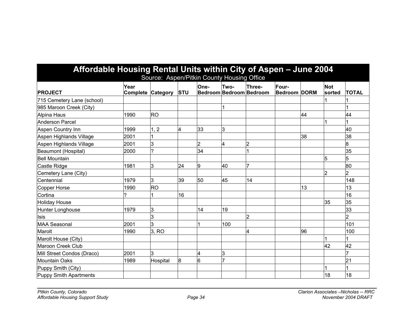| Affordable Housing Rental Units within City of Aspen - June 2004 |                                  |                |            | Source: Aspen/Pitkin County Housing Office |      |                                   |                              |    |                      |                |
|------------------------------------------------------------------|----------------------------------|----------------|------------|--------------------------------------------|------|-----------------------------------|------------------------------|----|----------------------|----------------|
| <b>PROJECT</b>                                                   | Year<br><b>Complete Category</b> |                | <b>STU</b> | One-                                       | Two- | Three-<br>Bedroom Bedroom Bedroom | Four-<br><b>Bedroom DORM</b> |    | <b>Not</b><br>sorted | <b>TOTAL</b>   |
| 715 Cemetery Lane (school)                                       |                                  |                |            |                                            |      |                                   |                              |    |                      |                |
| 985 Maroon Creek (City)                                          |                                  |                |            |                                            |      |                                   |                              |    |                      |                |
| Alpina Haus                                                      | 1990                             | <b>RO</b>      |            |                                            |      |                                   |                              | 44 |                      | 44             |
| <b>Anderson Parcel</b>                                           |                                  |                |            |                                            |      |                                   |                              |    |                      |                |
| Aspen Country Inn                                                | 1999                             | $\overline{2}$ | 4          | 33                                         | 3    |                                   |                              |    |                      | 40             |
| Aspen Highlands Village                                          | 2001                             |                |            |                                            |      |                                   |                              | 38 |                      | 38             |
| Aspen Highlands Village                                          | 2001                             | 3              |            | $\overline{2}$                             | 4    |                                   |                              |    |                      | 8              |
| Beaumont (Hospital)                                              | 2000                             | ?              |            | 34                                         |      |                                   |                              |    |                      | 35             |
| Bell Mountain                                                    |                                  |                |            |                                            |      |                                   |                              |    | 5                    | 5              |
| Castle Ridge                                                     | 1981                             | 3              | 24         | 9                                          | 40   |                                   |                              |    |                      | 80             |
| Cemetery Lane (City)                                             |                                  |                |            |                                            |      |                                   |                              |    | 2                    | 2              |
| Centennial                                                       | 1979                             | 3              | 39         | 50                                         | 45   | 14                                |                              |    |                      | 148            |
| Copper Horse                                                     | 1990                             | <b>RO</b>      |            |                                            |      |                                   |                              | 13 |                      | 13             |
| Cortina                                                          | 7                                |                | 16         |                                            |      |                                   |                              |    |                      | 16             |
| <b>Holiday House</b>                                             |                                  |                |            |                                            |      |                                   |                              |    | 35                   | 35             |
| Hunter Longhouse                                                 | 1979                             | 3              |            | 14                                         | 19   |                                   |                              |    |                      | 33             |
| llsis                                                            |                                  | 3              |            |                                            |      | 2                                 |                              |    |                      | $\overline{2}$ |
| <b>MAA Seasonal</b>                                              | 2001                             | 3              |            |                                            | 100  |                                   |                              |    |                      | 101            |
| Marolt                                                           | 1990                             | 3, RO          |            |                                            |      | 4                                 |                              | 96 |                      | 100            |
| Marolt House (City)                                              |                                  |                |            |                                            |      |                                   |                              |    |                      |                |
| Maroon Creek Club                                                |                                  |                |            |                                            |      |                                   |                              |    | 42                   | 42             |
| Mill Street Condos (Draco)                                       | 2001                             | 3              |            | 4                                          | 3    |                                   |                              |    |                      |                |
| <b>Mountain Oaks</b>                                             | 1989                             | Hospital       | 8          | 6                                          |      |                                   |                              |    |                      | 21             |
| Puppy Smith (City)                                               |                                  |                |            |                                            |      |                                   |                              |    |                      |                |
| <b>Puppy Smith Apartments</b>                                    |                                  |                |            |                                            |      |                                   |                              |    | 18                   | 18             |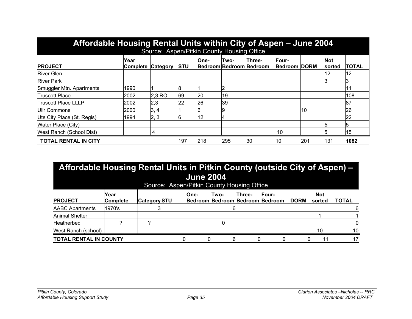| Affordable Housing Rental Units within City of Aspen - June 2004 |                         |          |             | Source: Aspen/Pitkin County Housing Office |      |                                   |                                     |     |                      |              |
|------------------------------------------------------------------|-------------------------|----------|-------------|--------------------------------------------|------|-----------------------------------|-------------------------------------|-----|----------------------|--------------|
| <b>PROJECT</b>                                                   | Year<br><b>Complete</b> | Category | <b>ISTU</b> | <b>One-</b>                                | Two- | Three-<br>Bedroom Bedroom Bedroom | <b>Four-</b><br><b>Bedroom DORM</b> |     | <b>Not</b><br>sorted | <b>TOTAL</b> |
| <b>River Glen</b>                                                |                         |          |             |                                            |      |                                   |                                     |     | 12                   | 12           |
| <b>River Park</b>                                                |                         |          |             |                                            |      |                                   |                                     |     |                      |              |
| Smuggler Mtn. Apartments                                         | 1990                    |          |             |                                            |      |                                   |                                     |     |                      |              |
| <b>Truscott Place</b>                                            | 2002                    | 2,3,RO   | 69          | 20                                         | 19   |                                   |                                     |     |                      | 108          |
| <b>Truscott Place LLLP</b>                                       | 2002                    | 2,3      | 22          | 26                                         | 39   |                                   |                                     |     |                      | 87           |
| Ullr Commons                                                     | 2000                    | 3, 4     |             | b                                          |      |                                   |                                     | 10  |                      | 26           |
| Ute City Place (St. Regis)                                       | 1994                    | 2, 3     | 6           | 12                                         |      |                                   |                                     |     |                      | 22           |
| Water Place (City)                                               |                         |          |             |                                            |      |                                   |                                     |     |                      | 5            |
| West Ranch (School Dist)                                         |                         | 4        |             |                                            |      |                                   | 10                                  |     |                      | 15           |
| <b>TOTAL RENTAL IN CITY</b>                                      |                         |          | 197         | 218                                        | 295  | 30                                | 10                                  | 201 | 131                  | 1082         |

| Affordable Housing Rental Units in Pitkin County (outside City of Aspen) - |                                                                                                                                                                                                          |   |   | <b>June 2004</b><br>Source: Aspen/Pitkin County Housing Office |   |  |  |  |    |    |  |  |  |  |  |
|----------------------------------------------------------------------------|----------------------------------------------------------------------------------------------------------------------------------------------------------------------------------------------------------|---|---|----------------------------------------------------------------|---|--|--|--|----|----|--|--|--|--|--|
| <b>PROJECT</b>                                                             | <b>Not</b><br>Year<br><b>Three-</b><br><b>IFour-</b><br><b>One-</b><br>Two-<br><b>Bedroom Bedroom Bedroom Bedroom</b><br><b>TOTAL</b><br><b>Category</b> STU<br><b>Complete</b><br><b>DORM</b><br>sorted |   |   |                                                                |   |  |  |  |    |    |  |  |  |  |  |
| <b>AABC Apartments</b>                                                     | 1970's                                                                                                                                                                                                   |   |   |                                                                |   |  |  |  |    | 6  |  |  |  |  |  |
| <b>Animal Shelter</b>                                                      |                                                                                                                                                                                                          |   |   |                                                                |   |  |  |  |    |    |  |  |  |  |  |
| Heatherbed                                                                 |                                                                                                                                                                                                          | ົ |   |                                                                |   |  |  |  |    | 0  |  |  |  |  |  |
| West Ranch (school)                                                        |                                                                                                                                                                                                          |   |   |                                                                |   |  |  |  | 10 | 10 |  |  |  |  |  |
| <b>TOTAL RENTAL IN COUNTY</b>                                              |                                                                                                                                                                                                          |   | 0 |                                                                | 6 |  |  |  | 11 | 17 |  |  |  |  |  |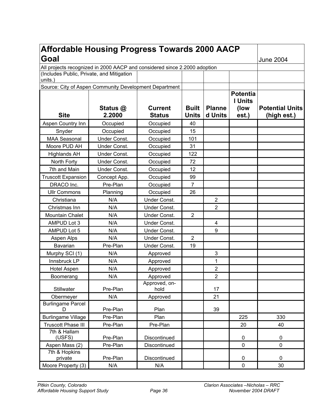| <b>Affordable Housing Progress Towards 2000 AACP</b>                      |                  |                       |                |                |                 |                        |
|---------------------------------------------------------------------------|------------------|-----------------------|----------------|----------------|-----------------|------------------------|
| Goal                                                                      | <b>June 2004</b> |                       |                |                |                 |                        |
| All projects recognized in 2000 AACP and considered since 2.2000 adoption |                  |                       |                |                |                 |                        |
| (Includes Public, Private, and Mitigation<br>units.)                      |                  |                       |                |                |                 |                        |
| Source: City of Aspen Community Development Department                    |                  |                       |                |                |                 |                        |
|                                                                           |                  |                       |                |                | <b>Potentia</b> |                        |
|                                                                           |                  |                       |                |                | <b>I</b> Units  |                        |
|                                                                           | Status @         | <b>Current</b>        | <b>Built</b>   | <b>Planne</b>  | (low            | <b>Potential Units</b> |
| <b>Site</b>                                                               | 2.2000           | <b>Status</b>         | <b>Units</b>   | d Units        | est.)           | (high est.)            |
| Aspen Country Inn                                                         | Occupied         | Occupied              | 40             |                |                 |                        |
| Snyder                                                                    | Occupied         | Occupied              | 15             |                |                 |                        |
| <b>MAA Seasonal</b>                                                       | Under Const.     | Occupied              | 101            |                |                 |                        |
| Moore PUD AH                                                              | Under Const.     | Occupied              | 31             |                |                 |                        |
| <b>Highlands AH</b>                                                       | Under Const.     | Occupied              | 122            |                |                 |                        |
| North Forty                                                               | Under Const.     | Occupied              | 72             |                |                 |                        |
| 7th and Main                                                              | Under Const.     | Occupied              | 12             |                |                 |                        |
| <b>Truscott Expansion</b>                                                 | Concept App.     | Occupied              | 99             |                |                 |                        |
| DRACO Inc.                                                                | Pre-Plan         | Occupied              | $\overline{7}$ |                |                 |                        |
| <b>Ullr Commons</b>                                                       | Planning         | Occupied              | 26             |                |                 |                        |
| Christiana                                                                | N/A              | Under Const.          |                | $\overline{2}$ |                 |                        |
| Christmas Inn                                                             | N/A              | Under Const.          |                | $\overline{2}$ |                 |                        |
| Mountain Chalet                                                           | N/A              | Under Const.          | $\overline{2}$ |                |                 |                        |
| AMPUD Lot 3                                                               | N/A              | Under Const.          |                | 4              |                 |                        |
| AMPUD Lot 5                                                               | N/A              | Under Const.          |                | 9              |                 |                        |
| Aspen Alps                                                                | N/A              | Under Const.          | $\overline{2}$ |                |                 |                        |
| Bavarian                                                                  | Pre-Plan         | Under Const.          | 19             |                |                 |                        |
| Murphy SCI (1)                                                            | N/A              | Approved              |                | 3              |                 |                        |
| Innsbruck LP                                                              | N/A              | Approved              |                | 1              |                 |                        |
| <b>Hotel Aspen</b>                                                        | N/A              | Approved              |                | 2              |                 |                        |
| Boomerang                                                                 | N/A              | Approved              |                | $\overline{2}$ |                 |                        |
| Stillwater                                                                | Pre-Plan         | Approved, on-<br>hold |                | 17             |                 |                        |
| Obermeyer                                                                 | N/A              | Approved              |                | 21             |                 |                        |
| <b>Burlingame Parcel</b><br>D                                             | Pre-Plan         | Plan                  |                | 39             |                 |                        |
| <b>Burlingame Village</b>                                                 | Pre-Plan         | Plan                  |                |                | 225             | 330                    |
| <b>Truscott Phase III</b>                                                 | Pre-Plan         | Pre-Plan              |                |                | 20              | 40                     |
| 7th & Hallam<br>(USFS)                                                    | Pre-Plan         | Discontinued          |                |                | $\pmb{0}$       | 0                      |
| Aspen Mass (2)                                                            | Pre-Plan         | Discontinued          |                |                | $\mathbf 0$     | 0                      |
| 7th & Hopkins<br>private                                                  | Pre-Plan         | Discontinued          |                |                | $\pmb{0}$       | 0                      |
| Moore Property (3)                                                        | N/A              | N/A                   |                |                | $\pmb{0}$       | 30                     |